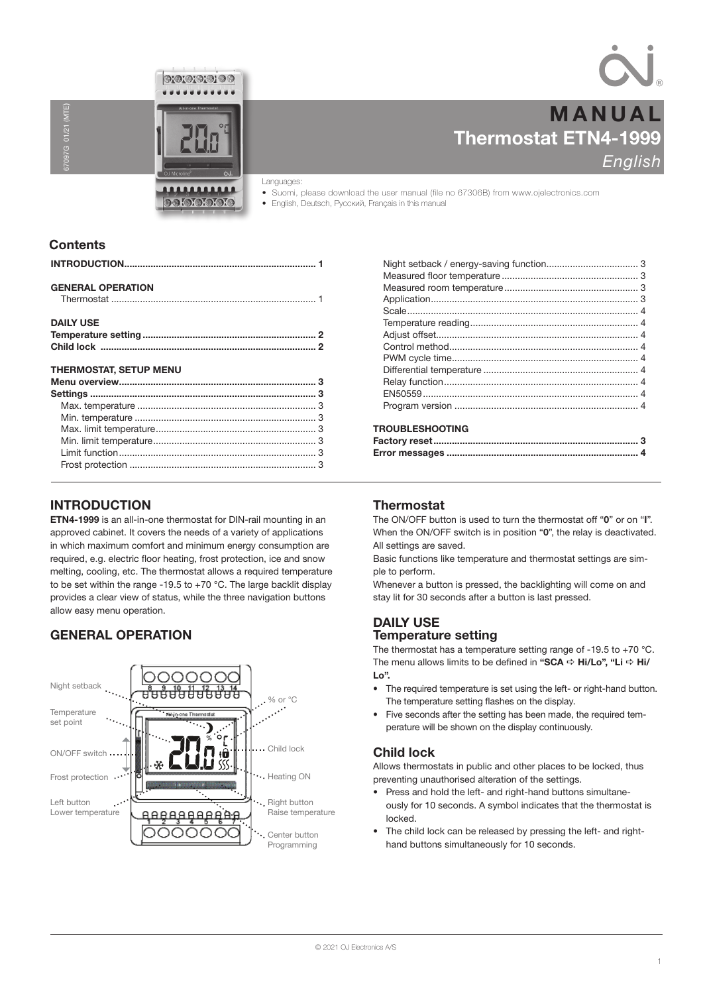



Thermostat ETN4-1999 **English** MANUAL

# Languages:

• Suomi, please download the user manual (file no 67306B) from www.ojelectronics.com • English, Deutsch, Русский, Français in this manual

# **Contents**

67097G 01/21 (MTE)

 $01/21$  (

| <b>GENERAL OPERATION</b>      |  |
|-------------------------------|--|
| <b>DAILY USE</b>              |  |
|                               |  |
|                               |  |
| <b>THERMOSTAT, SETUP MENU</b> |  |
|                               |  |
|                               |  |
|                               |  |
|                               |  |
|                               |  |
|                               |  |

# INTRODUCTION

ETN4-1999 is an all-in-one thermostat for DIN-rail mounting in an approved cabinet. It covers the needs of a variety of applications in which maximum comfort and minimum energy consumption are required, e.g. electric floor heating, frost protection, ice and snow melting, cooling, etc. The thermostat allows a required temperature to be set within the range -19.5 to  $+70$  °C. The large backlit display provides a clear view of status, while the three navigation buttons allow easy menu operation.

Frost protection ....................................................................... 3

# GENERAL OPERATION



# TROUBLESHOOTING

# **Thermostat**

The ON/OFF button is used to turn the thermostat off "0" or on "I". When the ON/OFF switch is in position "0", the relay is deactivated. All settings are saved.

Basic functions like temperature and thermostat settings are simple to perform.

Whenever a button is pressed, the backlighting will come on and stay lit for 30 seconds after a button is last pressed.

# DAILY USE Temperature setting

The thermostat has a temperature setting range of -19.5 to +70  $^{\circ}$ C. The menu allows limits to be defined in "SCA  $\Rightarrow$  Hi/Lo", "Li  $\Rightarrow$  Hi/ Lo".

- The required temperature is set using the left- or right-hand button. The temperature setting flashes on the display.
- Five seconds after the setting has been made, the required temperature will be shown on the display continuously.

# Child lock

Allows thermostats in public and other places to be locked, thus preventing unauthorised alteration of the settings.

- Press and hold the left- and right-hand buttons simultaneously for 10 seconds. A symbol indicates that the thermostat is locked.
- The child lock can be released by pressing the left- and righthand buttons simultaneously for 10 seconds.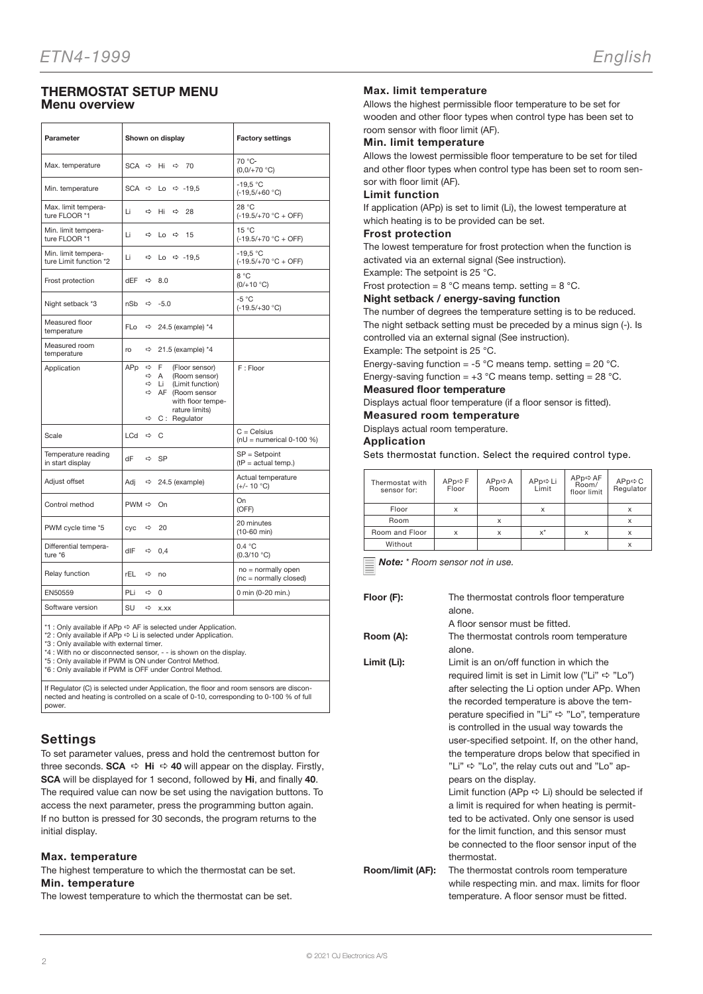# THERMOSTAT SETUP MENU Menu overview

| Parameter                                     | Shown on display                                                                         |                                                                                                                                                | <b>Factory settings</b>                      |
|-----------------------------------------------|------------------------------------------------------------------------------------------|------------------------------------------------------------------------------------------------------------------------------------------------|----------------------------------------------|
| Max. temperature                              |                                                                                          | SCA $\Rightarrow$ Hi $\Rightarrow$ 70                                                                                                          | $70 °C$ -<br>$(0,0/+70 °C)$                  |
| Min. temperature                              | SCA $\Rightarrow$                                                                        | Lo $\Rightarrow$ -19,5                                                                                                                         | $-19.5 °C$<br>$(-19,5/+60 °C)$               |
| Max. limit tempera-<br>ture FLOOR *1          | Li                                                                                       | $ightharpoonup$ Hi<br>$\Rightarrow$ 28                                                                                                         | 28 °C<br>$(-19.5/+70 °C + OFF)$              |
| Min. limit tempera-<br>ture FLOOR *1          | Li<br>$\Rightarrow$                                                                      | 15<br>$Lo \Rightarrow$                                                                                                                         | $15^{\circ}$ C<br>$(-19.5/+70 °C + OFF)$     |
| Min. limit tempera-<br>ture Limit function *2 | Li<br>$\Rightarrow$                                                                      | Lo $\Rightarrow$ -19,5                                                                                                                         | $-19.5 °C$<br>$(-19.5/+70 °C + OFF)$         |
| Frost protection                              | dEF<br>$\Rightarrow$                                                                     | 8.0                                                                                                                                            | 8 °C<br>$(0/+10 °C)$                         |
| Night setback *3                              | nSb                                                                                      | $\Leftrightarrow$ -5.0                                                                                                                         | $-5 °C$<br>$(-19.5/+30 °C)$                  |
| Measured floor<br>temperature                 | FL <sub>o</sub>                                                                          | $\Rightarrow$ 24.5 (example) *4                                                                                                                |                                              |
| Measured room<br>temperature                  | $\Rightarrow$<br>ro                                                                      | 21.5 (example) *4                                                                                                                              |                                              |
| Application                                   | APp<br>$\Rightarrow$<br>$\Rightarrow$<br>$\Rightarrow$<br>$\Rightarrow$<br>$\Rightarrow$ | F.<br>(Floor sensor)<br>A<br>(Room sensor)<br>Li<br>(Limit function)<br>AF (Room sensor<br>with floor tempe-<br>rature limits)<br>C: Regulator | F: Floor                                     |
| Scale                                         | $LCd \Leftrightarrow C$                                                                  |                                                                                                                                                | $C =$ Celsius<br>$nU =$ numerical 0-100 %)   |
| Temperature reading<br>in start display       | dF                                                                                       | $\Leftrightarrow$ SP                                                                                                                           | $SP = Setpoint$<br>$(tP = actual temp.)$     |
| Adjust offset                                 | Adj<br>$\Rightarrow$                                                                     | 24.5 (example)                                                                                                                                 | Actual temperature<br>$(+/- 10 °C)$          |
| Control method                                | PWM $\Leftrightarrow$ On                                                                 |                                                                                                                                                | On<br>(OFF)                                  |
| PWM cycle time *5                             | cyc<br>$\Rightarrow$                                                                     | 20                                                                                                                                             | 20 minutes<br>$(10-60$ min)                  |
| Differential tempera-<br>ture *6              | dlF                                                                                      | $\Leftrightarrow$ 0.4                                                                                                                          | 0.4 °C<br>(0.3/10 °C)                        |
| Relay function                                | rEL                                                                                      | $Arr$ no                                                                                                                                       | no = normally open<br>(nc = normally closed) |
| EN50559                                       | PLi<br>$\Rightarrow$                                                                     | $\Omega$                                                                                                                                       | 0 min (0-20 min.)                            |
| Software version                              | SU<br>$\Rightarrow$                                                                      | X.XX                                                                                                                                           |                                              |

\*1 : Only available if APp  $\Leftrightarrow$  AF is selected under Application.

\*2 : Only available if  $APP \Rightarrow$  Li is selected under Application.

\*3 : Only available with external timer. \*4 : With no or disconnected sensor, - - is shown on the display.

\*5 : Only available if PWM is ON under Control Method. \*6 : Only available if PWM is OFF under Control Method.

If Regulator (C) is selected under Application, the floor and room sensors are discon-nected and heating is controlled on a scale of 0-10, corresponding to 0-100 % of full power.

# **Settings**

To set parameter values, press and hold the centremost button for three seconds. **SCA**  $\Rightarrow$  **Hi**  $\Rightarrow$  **40** will appear on the display. Firstly, SCA will be displayed for 1 second, followed by Hi, and finally 40. The required value can now be set using the navigation buttons. To access the next parameter, press the programming button again. If no button is pressed for 30 seconds, the program returns to the initial display.

# Max. temperature

The highest temperature to which the thermostat can be set. Min. temperature

The lowest temperature to which the thermostat can be set.

# Max. limit temperature

Allows the highest permissible floor temperature to be set for wooden and other floor types when control type has been set to room sensor with floor limit (AF).

# Min. limit temperature

Allows the lowest permissible floor temperature to be set for tiled and other floor types when control type has been set to room sensor with floor limit (AF).

#### Limit function

If application (APp) is set to limit (Li), the lowest temperature at which heating is to be provided can be set.

#### Frost protection

The lowest temperature for frost protection when the function is activated via an external signal (See instruction).

Example: The setpoint is 25 °C.

Frost protection =  $8^{\circ}$ C means temp. setting =  $8^{\circ}$ C.

# Night setback / energy-saving function

The number of degrees the temperature setting is to be reduced. The night setback setting must be preceded by a minus sign (-). Is controlled via an external signal (See instruction).

Example: The setpoint is 25 °C.

Energy-saving function = -5  $^{\circ}$ C means temp. setting = 20  $^{\circ}$ C.

Energy-saving function =  $+3$  °C means temp. setting = 28 °C.

# Measured floor temperature

Displays actual floor temperature (if a floor sensor is fitted).

Measured room temperature

Displays actual room temperature.

# Application

Sets thermostat function. Select the required control type.

| Thermostat with<br>sensor for: | $APPp \Leftrightarrow F$<br>Floor | $APp \Rightarrow A$<br>Room | APp⇔Li<br>Limit | APp⇔AF<br>Room/<br>floor limit | APp⇔C<br>Regulator |
|--------------------------------|-----------------------------------|-----------------------------|-----------------|--------------------------------|--------------------|
| Floor                          | X                                 |                             | X               |                                |                    |
| Room                           |                                   | x                           |                 |                                |                    |
| Room and Floor                 |                                   |                             | $x^*$           |                                |                    |
| Without                        |                                   |                             |                 |                                |                    |

Note: \* Room sensor not in use.

Floor (F): The thermostat controls floor temperature alone. A floor sensor must be fitted. Room (A): The thermostat controls room temperature alone. Limit (Li): Limit is an on/off function in which the required limit is set in Limit low ("Li"  $\Rightarrow$  "Lo") after selecting the Li option under APp. When the recorded temperature is above the temperature specified in "Li"  $\Rightarrow$  "Lo", temperature is controlled in the usual way towards the user-specified setpoint. If, on the other hand, the temperature drops below that specified in "Li"  $\Rightarrow$  "Lo", the relay cuts out and "Lo" appears on the display. Limit function (APp  $\Rightarrow$  Li) should be selected if a limit is required for when heating is permitted to be activated. Only one sensor is used for the limit function, and this sensor must be connected to the floor sensor input of the thermostat. Room/limit (AF): The thermostat controls room temperature while respecting min. and max. limits for floor temperature. A floor sensor must be fitted.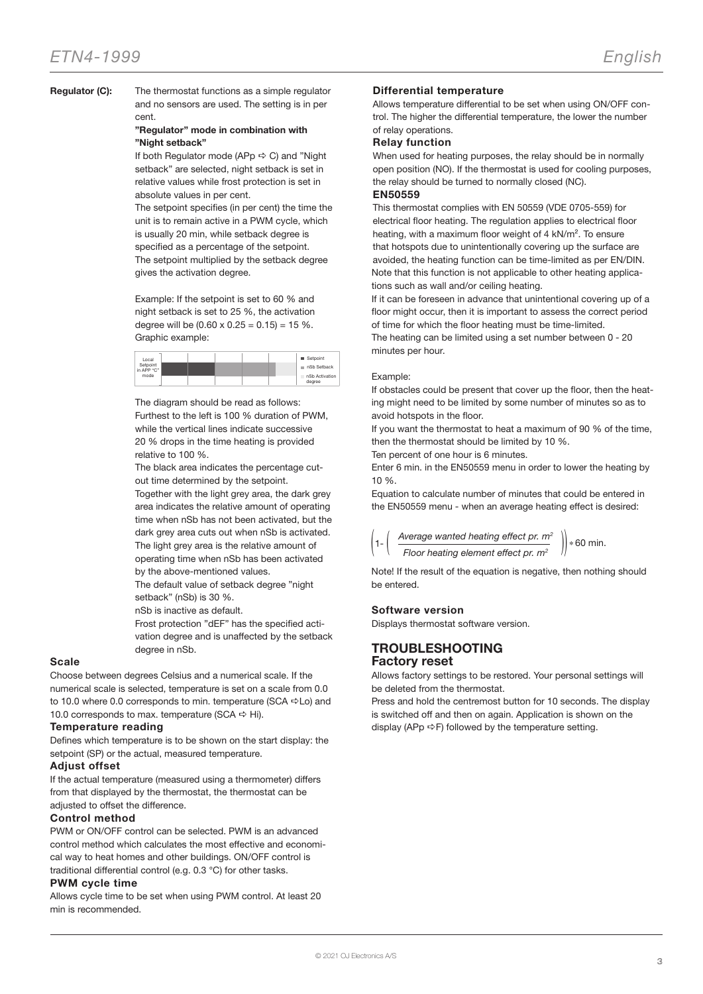Regulator (C): The thermostat functions as a simple regulator and no sensors are used. The setting is in per cent.

# "Regulator" mode in combination with "Night setback"

If both Regulator mode (APp  $\Leftrightarrow$  C) and "Night setback" are selected, night setback is set in relative values while frost protection is set in absolute values in per cent.

The setpoint specifies (in per cent) the time the unit is to remain active in a PWM cycle, which is usually 20 min, while setback degree is specified as a percentage of the setpoint. The setpoint multiplied by the setback degree gives the activation degree.

Example: If the setpoint is set to 60 % and night setback is set to 25 %, the activation degree will be  $(0.60 \times 0.25 = 0.15) = 15 \%$ . Graphic example:

| Local                  |  |  | Setpoint                 |
|------------------------|--|--|--------------------------|
| Setpoint<br>in APP "C" |  |  | nSb Setback<br>m         |
| mode                   |  |  | nSb Activation<br>degree |

The diagram should be read as follows: Furthest to the left is 100 % duration of PWM, while the vertical lines indicate successive 20 % drops in the time heating is provided relative to 100 %.

The black area indicates the percentage cutout time determined by the setpoint.

Together with the light grey area, the dark grey area indicates the relative amount of operating time when nSb has not been activated, but the dark grey area cuts out when nSb is activated. The light grey area is the relative amount of operating time when nSb has been activated

by the above-mentioned values. The default value of setback degree "night setback" (nSb) is 30 %.

nSb is inactive as default.

Frost protection "dEF" has the specified activation degree and is unaffected by the setback degree in nSb.

# Scale

Choose between degrees Celsius and a numerical scale. If the numerical scale is selected, temperature is set on a scale from 0.0 to 10.0 where 0.0 corresponds to min. temperature (SCA  $\Leftrightarrow$  Lo) and 10.0 corresponds to max. temperature (SCA  $\Rightarrow$  Hi).

# Temperature reading

Defines which temperature is to be shown on the start display: the setpoint (SP) or the actual, measured temperature.

# Adjust offset

If the actual temperature (measured using a thermometer) differs from that displayed by the thermostat, the thermostat can be adjusted to offset the difference.

# Control method

PWM or ON/OFF control can be selected. PWM is an advanced control method which calculates the most effective and economical way to heat homes and other buildings. ON/OFF control is traditional differential control (e.g. 0.3 °C) for other tasks.

# PWM cycle time

Allows cycle time to be set when using PWM control. At least 20 min is recommended.

# Differential temperature

Allows temperature differential to be set when using ON/OFF control. The higher the differential temperature, the lower the number of relay operations.

# Relay function

When used for heating purposes, the relay should be in normally open position (NO). If the thermostat is used for cooling purposes, the relay should be turned to normally closed (NC). EN50559

This thermostat complies with EN 50559 (VDE 0705-559) for electrical floor heating. The regulation applies to electrical floor heating, with a maximum floor weight of 4 kN/m². To ensure that hotspots due to unintentionally covering up the surface are avoided, the heating function can be time-limited as per EN/DIN. Note that this function is not applicable to other heating applications such as wall and/or ceiling heating.

If it can be foreseen in advance that unintentional covering up of a floor might occur, then it is important to assess the correct period of time for which the floor heating must be time-limited.

The heating can be limited using a set number between 0 - 20 minutes per hour.

# Example:

If obstacles could be present that cover up the floor, then the heating might need to be limited by some number of minutes so as to avoid hotspots in the floor.

If you want the thermostat to heat a maximum of 90 % of the time, then the thermostat should be limited by 10 %.

Ten percent of one hour is 6 minutes.

Enter 6 min. in the EN50559 menu in order to lower the heating by 10 %.

Equation to calculate number of minutes that could be entered in the EN50559 menu - when an average heating effect is desired:

| $\left(1-\left(\begin{array}{c}\text{Average wanted heating effect pr. } m^2 \\ \hline \end{array}\right)\right) * 60 \text{ min.}$ |  |
|-------------------------------------------------------------------------------------------------------------------------------------|--|
| Floor heating element effect pr. $m2$                                                                                               |  |

Note! If the result of the equation is negative, then nothing should be entered.

# Software version

Displays thermostat software version.

# TROUBLESHOOTING Factory reset

Allows factory settings to be restored. Your personal settings will be deleted from the thermostat.

Press and hold the centremost button for 10 seconds. The display is switched off and then on again. Application is shown on the display (APp  $\Leftrightarrow$  F) followed by the temperature setting.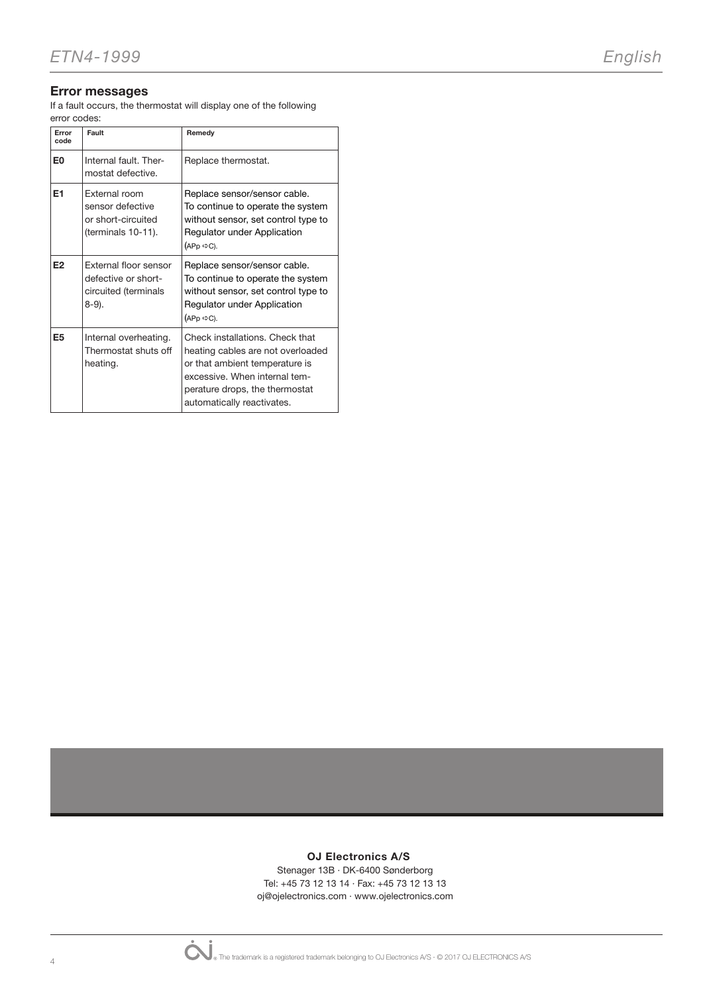# Error messages

If a fault occurs, the thermostat will display one of the following error codes:

| Error<br>code  | Fault                                                                            | Remedy                                                                                                                                                                                                  |
|----------------|----------------------------------------------------------------------------------|---------------------------------------------------------------------------------------------------------------------------------------------------------------------------------------------------------|
| E <sub>0</sub> | Internal fault. Ther-<br>mostat defective.                                       | Replace thermostat.                                                                                                                                                                                     |
| E <sub>1</sub> | External room<br>sensor defective<br>or short-circuited<br>(terminals 10-11).    | Replace sensor/sensor cable.<br>To continue to operate the system<br>without sensor, set control type to<br>Regulator under Application<br>$(APp \Leftrightarrow C).$                                   |
| E <sub>2</sub> | External floor sensor<br>defective or short-<br>circuited (terminals<br>$8-9$ ). | Replace sensor/sensor cable.<br>To continue to operate the system<br>without sensor, set control type to<br>Regulator under Application<br>$(APP \Rightarrow C)$ .                                      |
| E <sub>5</sub> | Internal overheating.<br>Thermostat shuts off<br>heating.                        | Check installations. Check that<br>heating cables are not overloaded<br>or that ambient temperature is<br>excessive. When internal tem-<br>perature drops, the thermostat<br>automatically reactivates. |

# OJ Electronics A/S

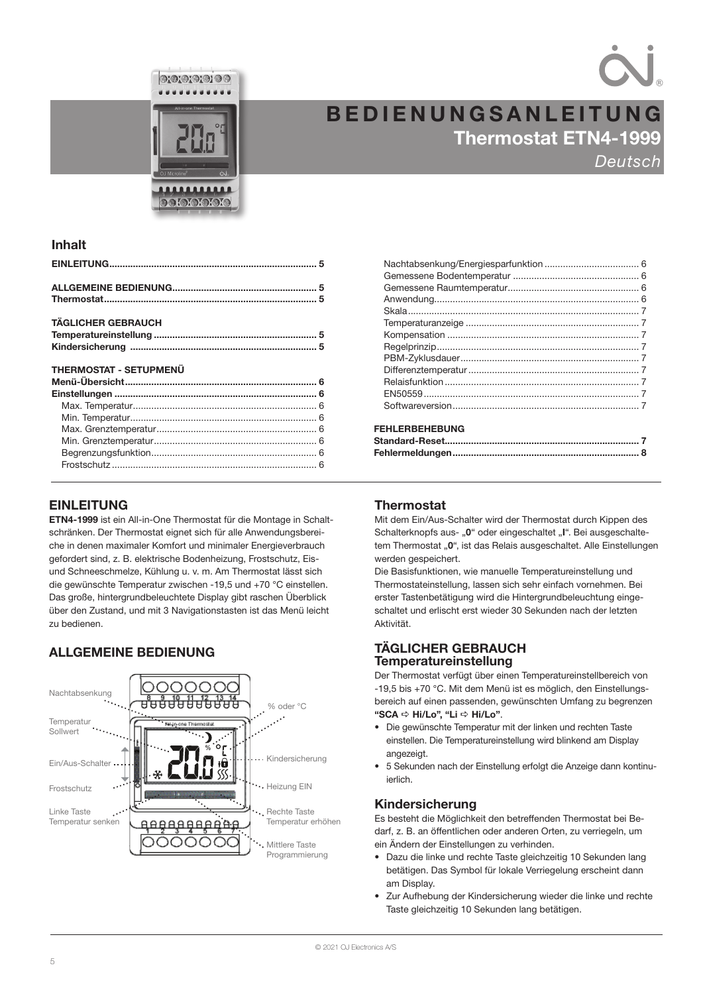



# Thermostat ETN4-1999 **Deutsch** BEDIENUNGSANLEITUNG

# Inhalt

| <b>TÄGLICHER GEBRAUCH</b> |  |
|---------------------------|--|
|                           |  |
|                           |  |
|                           |  |

# THERMOSTAT - SETUPMENÜ

# EINLEITUNG

ETN4-1999 ist ein All-in-One Thermostat für die Montage in Schaltschränken. Der Thermostat eignet sich für alle Anwendungsbereiche in denen maximaler Komfort und minimaler Energieverbrauch gefordert sind, z. B. elektrische Bodenheizung, Frostschutz, Eisund Schneeschmelze, Kühlung u. v. m. Am Thermostat lässt sich die gewünschte Temperatur zwischen -19,5 und +70 °C einstellen. Das große, hintergrundbeleuchtete Display gibt raschen Überblick über den Zustand, und mit 3 Navigationstasten ist das Menü leicht zu bedienen.

# ALLGEMEINE BEDIENUNG



| <b>FEHLERBEHEBUNG</b> |  |
|-----------------------|--|

| <u>FENLERDENEDUNG</u> |  |
|-----------------------|--|
|                       |  |
|                       |  |

# **Thermostat**

Mit dem Ein/Aus-Schalter wird der Thermostat durch Kippen des Schalterknopfs aus- "0" oder eingeschaltet "I". Bei ausgeschaltetem Thermostat "0", ist das Relais ausgeschaltet. Alle Einstellungen werden gespeichert.

Die Basisfunktionen, wie manuelle Temperatureinstellung und Thermostateinstellung, lassen sich sehr einfach vornehmen. Bei erster Tastenbetätigung wird die Hintergrundbeleuchtung eingeschaltet und erlischt erst wieder 30 Sekunden nach der letzten Aktivität.

# TÄGLICHER GEBRAUCH Temperatureinstellung

Der Thermostat verfügt über einen Temperatureinstellbereich von -19,5 bis +70 °C. Mit dem Menü ist es möglich, den Einstellungsbereich auf einen passenden, gewünschten Umfang zu begrenzen "SCA  $\Leftrightarrow$  Hi/Lo", "Li  $\Leftrightarrow$  Hi/Lo".

- Die gewünschte Temperatur mit der linken und rechten Taste einstellen. Die Temperatureinstellung wird blinkend am Display angezeigt.
- 5 Sekunden nach der Einstellung erfolgt die Anzeige dann kontinuierlich.

# Kindersicherung

Es besteht die Möglichkeit den betreffenden Thermostat bei Bedarf, z. B. an öffentlichen oder anderen Orten, zu verriegeln, um ein Ändern der Einstellungen zu verhinden.

- Dazu die linke und rechte Taste gleichzeitig 10 Sekunden lang betätigen. Das Symbol für lokale Verriegelung erscheint dann am Display.
- Zur Aufhebung der Kindersicherung wieder die linke und rechte Taste gleichzeitig 10 Sekunden lang betätigen.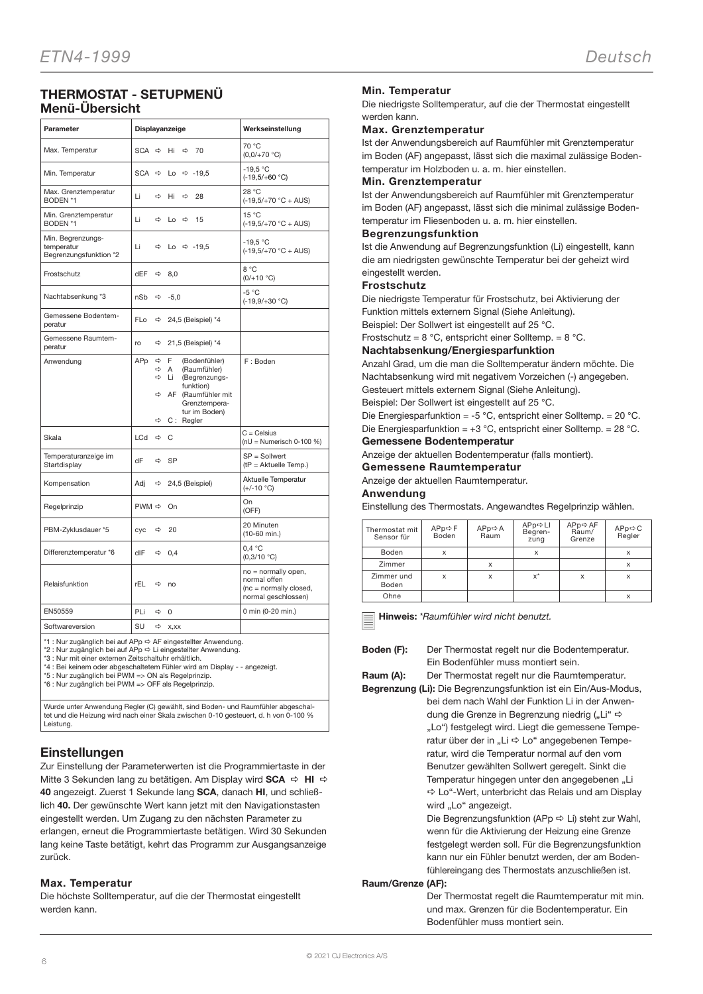# THERMOSTAT - SETUPMENÜ Menü-Übersicht

| Parameter                                                 | Displayanzeige                           |                                                                                                                                                  | Werkseinstellung                                                                     |
|-----------------------------------------------------------|------------------------------------------|--------------------------------------------------------------------------------------------------------------------------------------------------|--------------------------------------------------------------------------------------|
| Max. Temperatur                                           | $SCA \Rightarrow$                        | Hi<br>⇨<br>70                                                                                                                                    | 70 °C<br>$(0,0/+70 °C)$                                                              |
| Min. Temperatur                                           | $SCA \Rightarrow$                        | Lo $\Rightarrow$ -19,5                                                                                                                           | $-19.5 °C$<br>$(-19.5/+60 °C)$                                                       |
| Max. Grenztemperatur<br>BODEN *1                          | Li<br>⇨                                  | Hi<br>⇨<br>28                                                                                                                                    | 28 °C<br>$(-19,5/+70 °C + AUS)$                                                      |
| Min. Grenztemperatur<br>BODEN *1                          | Li<br>⇨                                  | $Lo \Rightarrow$<br>15                                                                                                                           | 15 °C<br>$(-19,5/+70 °C + AUS)$                                                      |
| Min. Begrenzungs-<br>temperatur<br>Begrenzungsfunktion *2 | Li<br>⇨                                  | Lo $\Rightarrow$ -19.5                                                                                                                           | $-19.5 °C$<br>$(-19,5/+70 °C + AUS)$                                                 |
| Frostschutz                                               | dEF<br>⇨                                 | 8,0                                                                                                                                              | 8 °C<br>$(0/+10 °C)$                                                                 |
| Nachtabsenkung *3                                         | nSb<br>⇨                                 | $-5,0$                                                                                                                                           | $-5 °C$<br>$(-19,9/+30 °C)$                                                          |
| Gemessene Bodentem-<br>peratur                            | FLo<br>⇨                                 | 24,5 (Beispiel) *4                                                                                                                               |                                                                                      |
| Gemessene Raumtem-<br>peratur                             | ro<br>⇨                                  | 21,5 (Beispiel) *4                                                                                                                               |                                                                                      |
| Anwendung                                                 | APp<br>$\Rightarrow$<br>⇨<br>⇨<br>⇨<br>⇨ | F<br>(Bodenfühler)<br>(Raumfühler)<br>A<br>Li<br>(Begrenzungs-<br>funktion)<br>AF (Raumfühler mit<br>Grenztempera-<br>tur im Boden)<br>C: Regler | F: Boden                                                                             |
| Skala                                                     | LCd<br>$\Rightarrow$                     | C                                                                                                                                                | $C = C$ elsius<br>$nU = Numerisch 0-100 %$                                           |
| Temperaturanzeige im<br>Startdisplay                      | dF<br>$\Rightarrow$                      | <b>SP</b>                                                                                                                                        | $SP =$ Sollwert<br>$(tP = Aktuelle Temp.)$                                           |
| Kompensation                                              | Adi<br>$\Rightarrow$                     | 24,5 (Beispiel)                                                                                                                                  | Aktuelle Temperatur<br>$(+/-10 °C)$                                                  |
| Regelprinzip                                              | PWM <>                                   | On                                                                                                                                               | On<br>(OFF)                                                                          |
| PBM-Zyklusdauer *5                                        | cyc<br>⇨                                 | 20                                                                                                                                               | 20 Minuten<br>(10-60 min.)                                                           |
| Differenztemperatur *6                                    | dIF<br>$\Rightarrow$                     | 0,4                                                                                                                                              | 0.4 °C<br>(0,3/10 °C)                                                                |
| Relaisfunktion                                            | rEL<br>⇨                                 | no                                                                                                                                               | no = normally open,<br>normal offen<br>(nc = normally closed,<br>normal geschlossen) |
| EN50559                                                   | PLi<br>⇨                                 | 0                                                                                                                                                | 0 min (0-20 min.)                                                                    |
| Softwareversion<br>$\epsilon$                             | SU<br>⇨<br>$\sim$                        | X,XX                                                                                                                                             |                                                                                      |

\*1 : Nur zugänglich bei auf APp ⇔ AF eingestellter Anwendung.<br>\*2 : Nur zugänglich bei auf APp ⇔ Li eingestellter Anwendung.

\*3 : Nur mit einer externen Zeitschaltuhr erhältlich.

\*4 : Bei keinem oder abgeschaltetem Fühler wird am Display - - angezeigt. \*5 : Nur zugänglich bei PWM => ON als Regelprinzip.

\*6 : Nur zugänglich bei PWM => OFF als Regelprinzip.

Wurde unter Anwendung Regler (C) gewählt, sind Boden- und Raumfühler abgeschal-tet und die Heizung wird nach einer Skala zwischen 0-10 gesteuert, d. h von 0-100 % Leistung.

# **Einstellungen**

Zur Einstellung der Parameterwerten ist die Programmiertaste in der Mitte 3 Sekunden lang zu betätigen. Am Display wird **SCA**  $\Rightarrow$  **HI**  $\Rightarrow$ 40 angezeigt. Zuerst 1 Sekunde lang SCA, danach HI, und schließlich 40. Der gewünschte Wert kann jetzt mit den Navigationstasten eingestellt werden. Um Zugang zu den nächsten Parameter zu erlangen, erneut die Programmiertaste betätigen. Wird 30 Sekunden lang keine Taste betätigt, kehrt das Programm zur Ausgangsanzeige zurück.

# Max. Temperatur

Die höchste Solltemperatur, auf die der Thermostat eingestellt werden kann.

# Min. Temperatur

Die niedrigste Solltemperatur, auf die der Thermostat eingestellt werden kann.

# Max. Grenztemperatur

Ist der Anwendungsbereich auf Raumfühler mit Grenztemperatur im Boden (AF) angepasst, lässt sich die maximal zulässige Bodentemperatur im Holzboden u. a. m. hier einstellen.

# Min. Grenztemperatur

Ist der Anwendungsbereich auf Raumfühler mit Grenztemperatur im Boden (AF) angepasst, lässt sich die minimal zulässige Bodentemperatur im Fliesenboden u. a. m. hier einstellen.

# Begrenzungsfunktion

Ist die Anwendung auf Begrenzungsfunktion (Li) eingestellt, kann die am niedrigsten gewünschte Temperatur bei der geheizt wird eingestellt werden.

# Frostschutz

Die niedrigste Temperatur für Frostschutz, bei Aktivierung der Funktion mittels externem Signal (Siehe Anleitung).

Beispiel: Der Sollwert ist eingestellt auf 25 °C.

Frostschutz = 8 °C, entspricht einer Solltemp. = 8 °C.

# Nachtabsenkung/Energiesparfunktion

Anzahl Grad, um die man die Solltemperatur ändern möchte. Die Nachtabsenkung wird mit negativem Vorzeichen (-) angegeben. Gesteuert mittels externem Signal (Siehe Anleitung).

Beispiel: Der Sollwert ist eingestellt auf 25 °C.

Die Energiesparfunktion = -5 °C, entspricht einer Solltemp. = 20 °C. Die Energiesparfunktion = +3 °C, entspricht einer Solltemp. = 28 °C.

# Gemessene Bodentemperatur

Anzeige der aktuellen Bodentemperatur (falls montiert).

Gemessene Raumtemperatur

Anzeige der aktuellen Raumtemperatur.

#### Anwendung

Einstellung des Thermostats. Angewandtes Regelprinzip wählen.

| Thermostat mit<br>Sensor für | $APPp \Leftrightarrow F$<br>Boden | $APp \Rightarrow A$<br>Raum | APp⇔LI<br>Begren-<br>zung | APp⇔AF<br>Raum/<br>Grenze | APp⇔C<br>Regler |
|------------------------------|-----------------------------------|-----------------------------|---------------------------|---------------------------|-----------------|
| Boden                        | X                                 |                             | X                         |                           | X               |
| Zimmer                       |                                   | X                           |                           |                           | X               |
| Zimmer und<br>Boden          | X                                 | X                           | $x^*$                     | X                         | X               |
| Ohne                         |                                   |                             |                           |                           | x               |

Hinweis: \*Raumfühler wird nicht benutzt.

| Boden (F): | Der Thermostat regelt nur die Bodentemperatur. |
|------------|------------------------------------------------|
|            | Ein Bodenfühler muss montiert sein.            |

Raum (A): Der Thermostat regelt nur die Raumtemperatur.

- Begrenzung (Li): Die Begrenzungsfunktion ist ein Ein/Aus-Modus,
	- bei dem nach Wahl der Funktion Li in der Anwendung die Grenze in Begrenzung niedrig ("Li"  $\Rightarrow$ "Lo") festgelegt wird. Liegt die gemessene Temperatur über der in "Li $\Rightarrow$  Lo" angegebenen Temperatur, wird die Temperatur normal auf den vom Benutzer gewählten Sollwert geregelt. Sinkt die Temperatur hingegen unter den angegebenen "Li a Lo"-Wert, unterbricht das Relais und am Display wird "Lo" angezeigt.

Die Begrenzungsfunktion (APp  $\Rightarrow$  Li) steht zur Wahl, wenn für die Aktivierung der Heizung eine Grenze festgelegt werden soll. Für die Begrenzungsfunktion kann nur ein Fühler benutzt werden, der am Bodenfühlereingang des Thermostats anzuschließen ist.

# Raum/Grenze (AF):

Der Thermostat regelt die Raumtemperatur mit min. und max. Grenzen für die Bodentemperatur. Ein Bodenfühler muss montiert sein.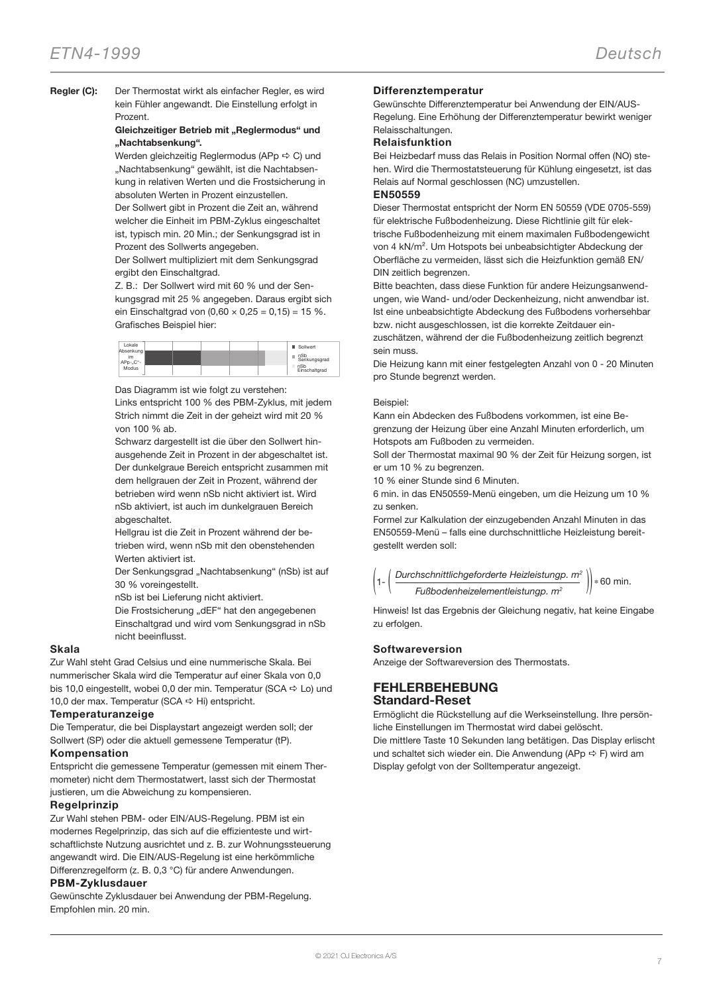#### Regler (C): Der Thermostat wirkt als einfacher Regler, es wird kein Fühler angewandt. Die Einstellung erfolgt in Prozent.

# Gleichzeitiger Betrieb mit "Reglermodus" und "Nachtabsenkung".

Werden gleichzeitig Reglermodus (APp  $\Rightarrow$  C) und "Nachtabsenkung" gewählt, ist die Nachtabsenkung in relativen Werten und die Frostsicherung in absoluten Werten in Prozent einzustellen.

Der Sollwert gibt in Prozent die Zeit an, während welcher die Einheit im PBM-Zyklus eingeschaltet ist, typisch min. 20 Min.; der Senkungsgrad ist in Prozent des Sollwerts angegeben.

Der Sollwert multipliziert mit dem Senkungsgrad ergibt den Einschaltgrad.

Z. B.: Der Sollwert wird mit 60 % und der Senkungsgrad mit 25 % angegeben. Daraus ergibt sich ein Einschaltgrad von  $(0.60 \times 0.25 = 0.15) = 15 \%$ . Grafisches Beispiel hier:

| Lokale<br>Absenkung |  |  | Sollwert             |
|---------------------|--|--|----------------------|
| im<br>APp-"C"-      |  |  | nSb<br>Senkungsgrad  |
| Modus               |  |  | nSb<br>Einschaltgrad |

Das Diagramm ist wie folgt zu verstehen:

Links entspricht 100 % des PBM-Zyklus, mit jedem Strich nimmt die Zeit in der geheizt wird mit 20 % von 100 % ab.

Schwarz dargestellt ist die über den Sollwert hinausgehende Zeit in Prozent in der abgeschaltet ist. Der dunkelgraue Bereich entspricht zusammen mit dem hellgrauen der Zeit in Prozent, während der betrieben wird wenn nSb nicht aktiviert ist. Wird nSb aktiviert, ist auch im dunkelgrauen Bereich abgeschaltet.

Hellgrau ist die Zeit in Prozent während der betrieben wird, wenn nSb mit den obenstehenden Werten aktiviert ist.

Der Senkungsgrad "Nachtabsenkung" (nSb) ist auf 30 % voreingestellt.

nSb ist bei Lieferung nicht aktiviert.

Die Frostsicherung "dEF" hat den angegebenen Einschaltgrad und wird vom Senkungsgrad in nSb nicht beeinflusst.

# Skala

Zur Wahl steht Grad Celsius und eine nummerische Skala. Bei nummerischer Skala wird die Temperatur auf einer Skala von 0,0 bis 10,0 eingestellt, wobei 0,0 der min. Temperatur (SCA  $\Leftrightarrow$  Lo) und 10,0 der max. Temperatur (SCA  $\Rightarrow$  Hi) entspricht.

# Temperaturanzeige

Die Temperatur, die bei Displaystart angezeigt werden soll; der Sollwert (SP) oder die aktuell gemessene Temperatur (tP).

# Kompensation

Entspricht die gemessene Temperatur (gemessen mit einem Thermometer) nicht dem Thermostatwert, lasst sich der Thermostat justieren, um die Abweichung zu kompensieren.

# Regelprinzip

Zur Wahl stehen PBM- oder EIN/AUS-Regelung. PBM ist ein modernes Regelprinzip, das sich auf die effizienteste und wirtschaftlichste Nutzung ausrichtet und z. B. zur Wohnungssteuerung angewandt wird. Die EIN/AUS-Regelung ist eine herkömmliche Differenzregelform (z. B. 0,3 °C) für andere Anwendungen.

# PBM-Zyklusdauer

Gewünschte Zyklusdauer bei Anwendung der PBM-Regelung. Empfohlen min. 20 min.

# Differenztemperatur

Gewünschte Differenztemperatur bei Anwendung der EIN/AUS-Regelung. Eine Erhöhung der Differenztemperatur bewirkt weniger Relaisschaltungen.

# Relaisfunktion

Bei Heizbedarf muss das Relais in Position Normal offen (NO) stehen. Wird die Thermostatsteuerung für Kühlung eingesetzt, ist das Relais auf Normal geschlossen (NC) umzustellen.

# EN50559

Dieser Thermostat entspricht der Norm EN 50559 (VDE 0705-559) für elektrische Fußbodenheizung. Diese Richtlinie gilt für elektrische Fußbodenheizung mit einem maximalen Fußbodengewicht von 4 kN/m². Um Hotspots bei unbeabsichtigter Abdeckung der Oberfläche zu vermeiden, lässt sich die Heizfunktion gemäß EN/ DIN zeitlich begrenzen.

Bitte beachten, dass diese Funktion für andere Heizungsanwendungen, wie Wand- und/oder Deckenheizung, nicht anwendbar ist. Ist eine unbeabsichtigte Abdeckung des Fußbodens vorhersehbar bzw. nicht ausgeschlossen, ist die korrekte Zeitdauer ein-

zuschätzen, während der die Fußbodenheizung zeitlich begrenzt sein muss.

Die Heizung kann mit einer festgelegten Anzahl von 0 - 20 Minuten pro Stunde begrenzt werden.

#### Beispiel:

Kann ein Abdecken des Fußbodens vorkommen, ist eine Begrenzung der Heizung über eine Anzahl Minuten erforderlich, um Hotspots am Fußboden zu vermeiden.

Soll der Thermostat maximal 90 % der Zeit für Heizung sorgen, ist er um 10 % zu begrenzen.

10 % einer Stunde sind 6 Minuten.

6 min. in das EN50559-Menü eingeben, um die Heizung um 10 % zu senken.

Formel zur Kalkulation der einzugebenden Anzahl Minuten in das EN50559-Menü – falls eine durchschnittliche Heizleistung bereitgestellt werden soll:



Hinweis! Ist das Ergebnis der Gleichung negativ, hat keine Eingabe zu erfolgen.

# Softwareversion

Anzeige der Softwareversion des Thermostats.

# FEHLERBEHEBUNG Standard-Reset

Ermöglicht die Rückstellung auf die Werkseinstellung. Ihre persönliche Einstellungen im Thermostat wird dabei gelöscht. Die mittlere Taste 10 Sekunden lang betätigen. Das Display erlischt und schaltet sich wieder ein. Die Anwendung (APp  $\Rightarrow$  F) wird am Display gefolgt von der Solltemperatur angezeigt.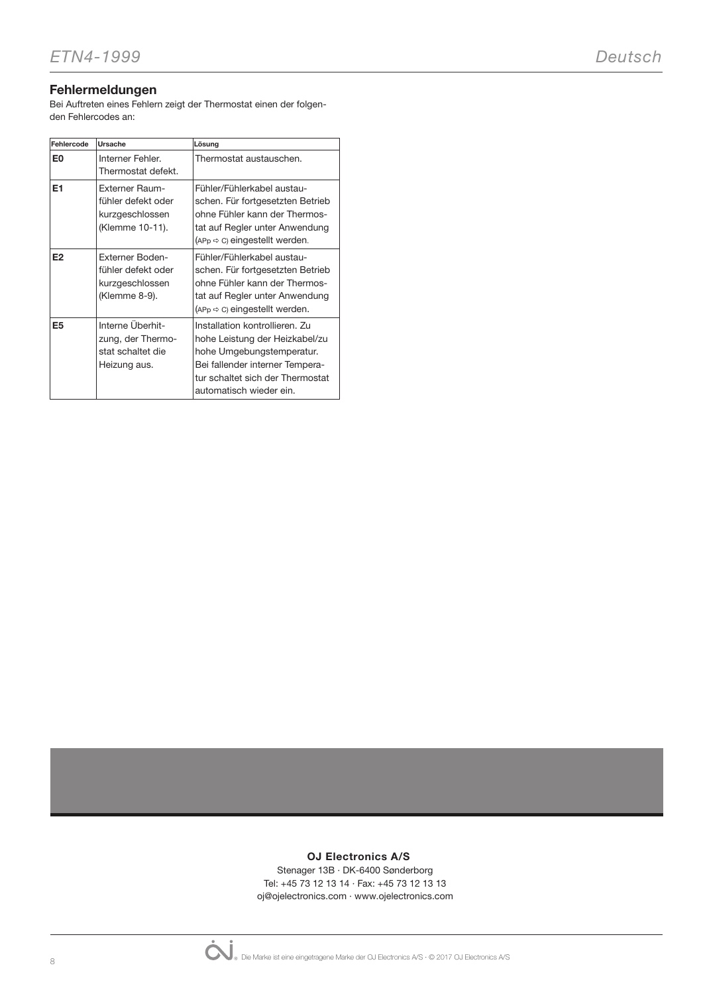# Fehlermeldungen

Bei Auftreten eines Fehlern zeigt der Thermostat einen der folgenden Fehlercodes an:

| Fehlercode     | Ursache                                                                           | Lösung                                                                                                                                                                                          |
|----------------|-----------------------------------------------------------------------------------|-------------------------------------------------------------------------------------------------------------------------------------------------------------------------------------------------|
| E <sub>0</sub> | Interner Fehler.<br>Thermostat defekt.                                            | Thermostat austauschen.                                                                                                                                                                         |
| E1             | <b>Externer Raum-</b><br>fühler defekt oder<br>kurzgeschlossen<br>(Klemme 10-11). | Fühler/Fühlerkabel austau-<br>schen. Für fortgesetzten Betrieb<br>ohne Fühler kann der Thermos-<br>tat auf Regler unter Anwendung<br>$(APP \Rightarrow C)$ eingestellt werden.                  |
| E <sub>2</sub> | <b>Externer Boden-</b><br>fühler defekt oder<br>kurzgeschlossen<br>(Klemme 8-9).  | Fühler/Fühlerkabel austau-<br>schen. Für fortgesetzten Betrieb<br>ohne Fühler kann der Thermos-<br>tat auf Regler unter Anwendung<br>$(APP \Leftrightarrow C)$ eingestellt werden.              |
| E <sub>5</sub> | Interne Überhit-<br>zung, der Thermo-<br>stat schaltet die<br>Heizung aus.        | Installation kontrollieren. Zu<br>hohe Leistung der Heizkabel/zu<br>hohe Umgebungstemperatur.<br>Bei fallender interner Tempera-<br>tur schaltet sich der Thermostat<br>automatisch wieder ein. |

# OJ Electronics A/S

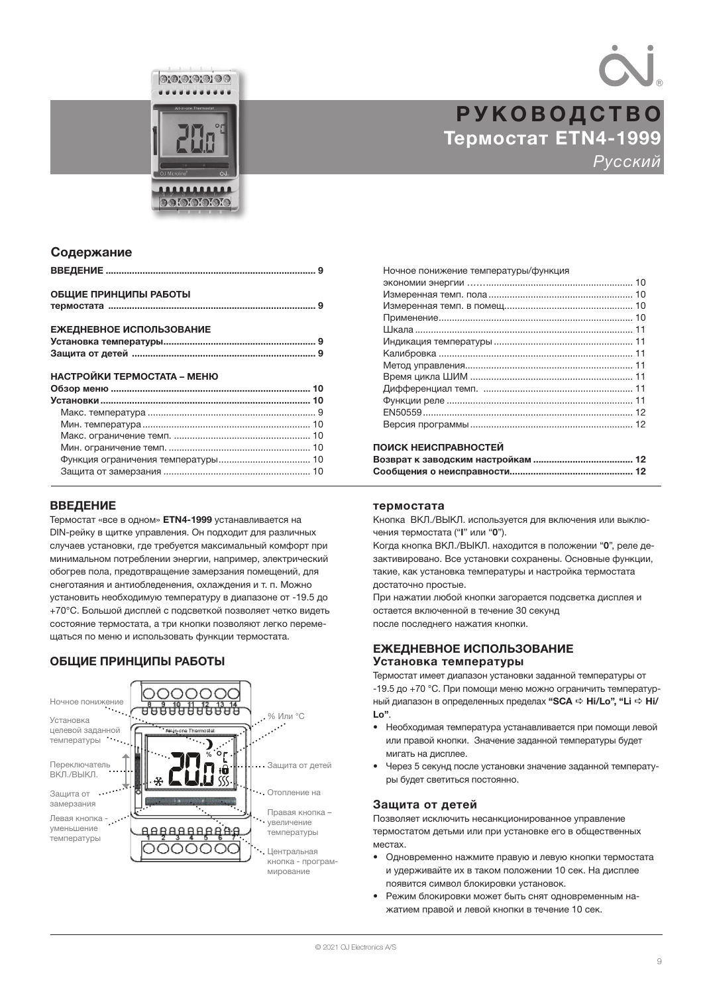



# Термостат ETN4-1999 Русский РУКОВОДСТВО

# Содержание

| ОБЩИЕ ПРИНЦИПЫ РАБОТЫ       |  |
|-----------------------------|--|
|                             |  |
| ЕЖЕДНЕВНОЕ ИСПОЛЬЗОВАНИЕ    |  |
|                             |  |
|                             |  |
| НАСТРОЙКИ ТЕРМОСТАТА – МЕНЮ |  |
|                             |  |
|                             |  |
|                             |  |
|                             |  |
|                             |  |
|                             |  |
|                             |  |
|                             |  |

# ВВЕДЕНИЕ

Термостат «все в одном» ETN4-1999 устанавливается на DIN-рейку в щитке управления. Он подходит для различных случаев установки, где требуется максимальный комфорт при минимальном потреблении энергии, например, электрический обогрев пола, предотвращение замерзания помещений, для снеготаяния и антиобледенения, охлаждения и т. п. Можно установить необходимую температуру в диапазоне от -19.5 до +70°C. Большой дисплей с подсветкой позволяет четко видеть состояние термостата, а три кнопки позволяют легко перемещаться по меню и использовать функции термостата.

# ОБЩИЕ ПРИНЦИПЫ РАБОТЫ



| Ночное понижение температуры/функция |  |
|--------------------------------------|--|
|                                      |  |
|                                      |  |
|                                      |  |
|                                      |  |
|                                      |  |
|                                      |  |
|                                      |  |
|                                      |  |
|                                      |  |
|                                      |  |
|                                      |  |
|                                      |  |
|                                      |  |
|                                      |  |

# ПОИСК НЕИСПРАВНОСТЕЙ

# термостата

Кнопка ВКЛ./ВЫКЛ. используется для включения или выключения термостата ("I" или "0").

Когда кнопка ВКЛ./ВЫКЛ. находится в положении "0", реле дезактивировано. Все установки сохранены. Основные функции, такие, как установка температуры и настройка термостата достаточно простые.

При нажатии любой кнопки загорается подсветка дисплея и остается включенной в течение 30 секунд после последнего нажатия кнопки.

# ЕЖЕДНЕВНОЕ ИСПОЛЬЗОВАНИЕ Установка температуры

Термостат имеет диапазон установки заданной температуры от -19.5 до +70 °C. При помощи меню можно ограничить температурный диапазон в определенных пределах "SCA  $\Rightarrow$  Hi/Lo", "Li  $\Rightarrow$  Hi/ Lo".

- Необходимая температура устанавливается при помощи левой или правой кнопки. Значение заданной температуры будет мигать на дисплее.
- Через 5 секунд после установки значение заданной температуры будет светиться постоянно.

# Защита от детей

Позволяет исключить несанкционированное управление термостатом детьми или при установке его в общественных местах.

- Одновременно нажмите правую и левую кнопки термостата и удерживайте их в таком положении 10 сек. На дисплее появится символ блокировки установок.
- Режим блокировки может быть снят одновременным нажатием правой и левой кнопки в течение 10 сек.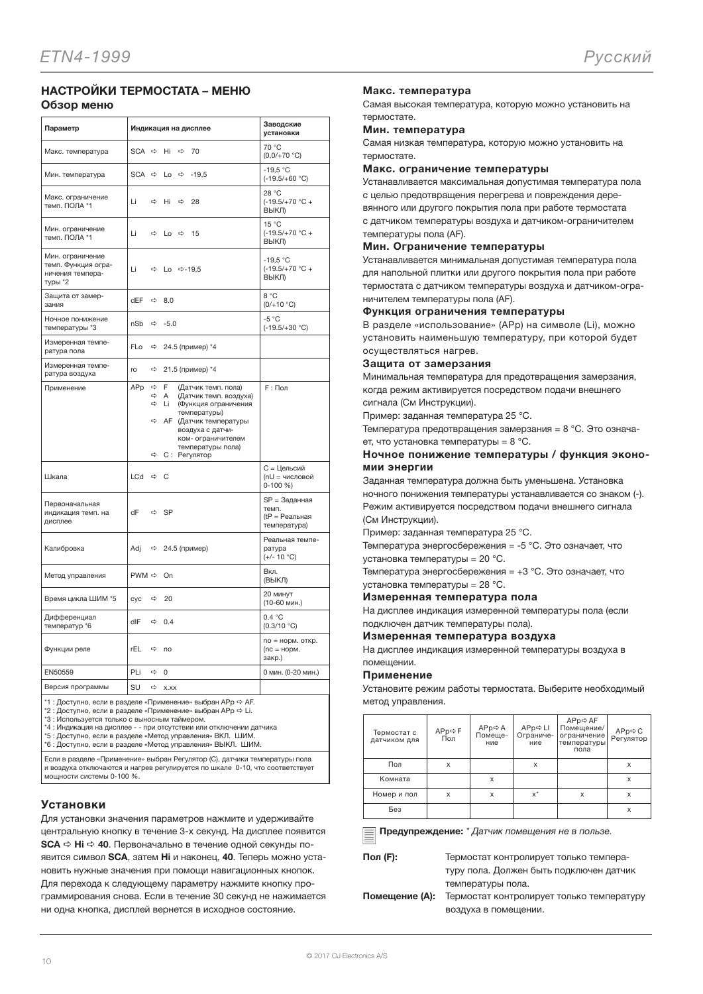# НАСТРОЙКИ ТЕРМОСТАТА – МЕНЮ Обзор меню

| Параметр                                                               | Индикация на дисплее                                                                                                                                                                                                                                                   | Заводские<br>установки                                   |
|------------------------------------------------------------------------|------------------------------------------------------------------------------------------------------------------------------------------------------------------------------------------------------------------------------------------------------------------------|----------------------------------------------------------|
| Макс. температура                                                      | $SCA \Rightarrow$<br>Hi<br>$\Rightarrow$<br>70                                                                                                                                                                                                                         | 70 °C<br>$(0,0/+70 °C)$                                  |
| Мин. температура                                                       | <b>SCA</b><br>⇨<br>$\Rightarrow$<br>$-19.5$<br>Lo                                                                                                                                                                                                                      | $-19.5 °C$<br>$(-19.5/+60 °C)$                           |
| Макс. ограничение<br>темп. ПОЛА *1                                     | Li<br>$\Rightarrow$<br>Hi<br>$\Rightarrow$<br>28                                                                                                                                                                                                                       | 28 °C<br>$(-19.5/+70 °C +$<br>ВЫКЛ)                      |
| Мин. ограничение<br>темп. ПОЛА *1                                      | Li<br>$\Leftrightarrow$ Lo $\Leftrightarrow$<br>- 15                                                                                                                                                                                                                   | 15 °C<br>$(-19.5/+70 °C +$<br>ВЫКЛ)                      |
| Мин. ограничение<br>темп. Функция огра-<br>ничения темпера-<br>туры *2 | Li<br>☆ Lo ☆-19,5                                                                                                                                                                                                                                                      | $-19.5 °C$<br>$(-19.5/+70 °C +$<br>ВЫКЛ)                 |
| Защита от замер-<br>зания                                              | dEF<br>⇨<br>8.0                                                                                                                                                                                                                                                        | 8 °C<br>$(0/+10 °C)$                                     |
| Ночное понижение<br>температуры *3                                     | nSb<br>$-5.0$<br>⇨                                                                                                                                                                                                                                                     | $-5 °C$<br>$(-19.5/+30 °C)$                              |
| Измеренная темпе-<br>ратура пола                                       | FLo<br>24.5 (пример) *4<br>⇨                                                                                                                                                                                                                                           |                                                          |
| Измеренная темпе-<br>ратура воздуха                                    | 21.5 (пример) *4<br>ro<br>⇨                                                                                                                                                                                                                                            |                                                          |
| Применение                                                             | APp<br>$\Rightarrow$<br>E<br>(Датчик темп. пола)<br>⇨<br>A<br>(Датчик темп. воздуха)<br>$\Rightarrow$<br>Li<br>(Функция ограничения<br>температуры)<br>⇨<br>АГ (Датчик температуры<br>воздуха с датчи-<br>ком- ограничителем<br>температуры пола)<br>⇨<br>С: Регулятор | F: Пол                                                   |
| Шкала                                                                  | LCd<br>$\Leftrightarrow$ C                                                                                                                                                                                                                                             | С = Цельсий<br>(nU = числовой<br>$0-100 \%$              |
| Первоначальная<br>индикация темп. на<br>дисплее                        | dF<br><b>SP</b><br>⇨                                                                                                                                                                                                                                                   | SP = Заданная<br>темп.<br>(tP = Реальная<br>температура) |
| Калибровка                                                             | Adj<br>⇒ 24.5 (пример)                                                                                                                                                                                                                                                 | Реальная темпе-<br>ратура<br>(+/- 10 °C)                 |
| Метод управления                                                       | $PWM \Rightarrow$<br>On                                                                                                                                                                                                                                                | Вкл.<br>(ВЫКЛ)                                           |
| Время цикла ШИМ *5                                                     | cyc<br>⇨<br>20                                                                                                                                                                                                                                                         | 20 минут<br>(10-60 мин.)                                 |
| Дифференциал<br>температур *6                                          | dIF<br>⇨<br>0.4                                                                                                                                                                                                                                                        | 0.4 °C<br>(0.3/10 °C)                                    |
| Функции реле                                                           | rEL<br>⇨<br>no                                                                                                                                                                                                                                                         | no = норм. откр.<br>$(nc = \text{HopM})$ .<br>закр.)     |
| EN50559                                                                | PLi<br>⇨<br>0                                                                                                                                                                                                                                                          | 0 мин. (0-20 мин.)                                       |
| Версия программы                                                       | SU<br>$\Rightarrow$<br>X.XX                                                                                                                                                                                                                                            |                                                          |

 $*1:$  Доступно, если в разделе «Применение» выбран APp  $\Leftrightarrow$  AF.

\*2 : Доступно, если в разделе «Применение» выбран APp ⇔ Li.<br>\*3 : Используется только с выносным таймером.

\*4 : Индикация на дисплее - - при отсутствии или отключении датчика \*5 : Доступно, если в разделе «Метод управления» ВКЛ. ШИМ.

\*6 : Доступно, если в разделе «Метод управления» ВЫКЛ. ШИМ.

Если в разделе «Применение» выбран Регулятор (C), датчики температуры пола и воздуха отключаются и нагрев регулируется по шка

мощности системы 0-100 %.

# Установки

Для установки значения параметров нажмите и удерживайте центральную кнопку в течение 3-х секунд. На дисплее появится SCA → Ні → 40. Первоначально в течение одной секунды появится символ SCA, затем Hi и наконец, 40. Теперь можно установить нужные значения при помощи навигационных кнопок. Для перехода к следующему параметру нажмите кнопку программирования снова. Если в течение 30 секунд не нажимается ни одна кнопка, дисплей вернется в исходное состояние.

#### Макс. температура

Самая высокая температура, которую можно установить на термостате.

#### Мин. температура

Самая низкая температура, которую можно установить на термостате.

#### Макс. ограничение температуры

Устанавливается максимальная допустимая температура пола с целью предотвращения перегрева и повреждения деревянного или другого покрытия пола при работе термостата с датчиком температуры воздуха и датчиком-ограничителем температуры пола (AF).

#### Мин. Ограничение температуры

Устанавливается минимальная допустимая температура пола для напольной плитки или другого покрытия пола при работе термостата с датчиком температуры воздуха и датчиком-ограничителем температуры пола (AF).

#### Функция ограничения температуры

В разделе «использование» (APp) на символе (Li), можно установить наименьшую температуру, при которой будет осуществляться нагрев.

#### Защита от замерзания

Минимальная температура для предотвращения замерзания, когда режим активируется посредством подачи внешнего сигнала (См Инструкции).

Пример: заданная температура 25 °C.

Температура предотвращения замерзания = 8 °C. Это означает, что установка температуры = 8 °C.

# Ночное понижение температуры / функция экономии энергии

Заданная температура должна быть уменьшена. Установка ночного понижения температуры устанавливается со знаком (-). Режим активируется посредством подачи внешнего сигнала (См Инструкции).

Пример: заданная температура 25 °C.

Температура энергосбережения = -5 °C. Это означает, что установка температуры = 20 °C.

Температура энергосбережения = +3 °C. Это означает, что установка температуры = 28 °C.

#### Измеренная температура пола

На дисплее индикация измеренной температуры пола (если подключен датчик температуры пола).

#### Измеренная температура воздуха

На дисплее индикация измеренной температуры воздуха в помещении.

#### Применение

Установите режим работы термостата. Выберите необходимый метод управления.

| Термостат с<br>датчиком для | APp⇔F<br>Пол | $APp \Rightarrow A$<br>Помеще-<br>ние | APp⇔LI<br>Ограниче-<br>ние | APp⇔AF<br>Помещение/<br>ограничение<br>температуры<br>пола | АРр⇔ С<br>Регулятор |
|-----------------------------|--------------|---------------------------------------|----------------------------|------------------------------------------------------------|---------------------|
| Пол                         | X            |                                       | X                          |                                                            | x                   |
| Комната                     |              | x                                     |                            |                                                            | x                   |
| Номер и пол                 | X            | x                                     | $x^*$                      | x                                                          | x                   |
| Без                         |              |                                       |                            |                                                            | x                   |

Предупреждение: \* Датчик помещения не в пользе.

Пол (F): Термостат контролирует только температуру пола. Должен быть подключен датчик температуры пола.

Помещение (A): Термостат контролирует только температуру воздуха в помещении.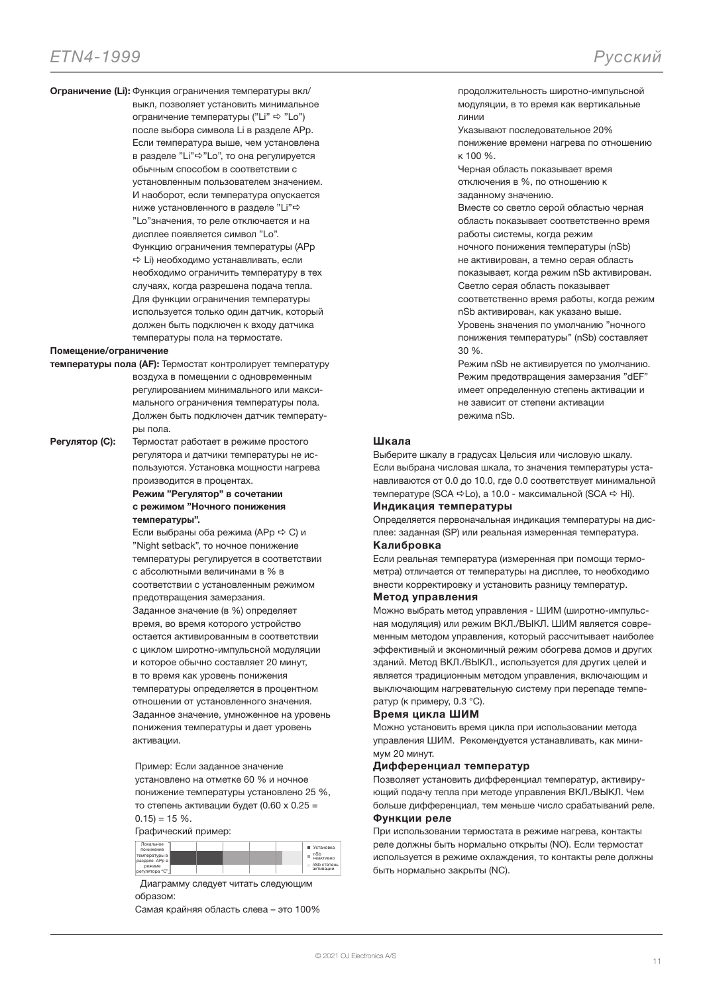Ограничение (Li): Функция ограничения температуры вкл/ выкл, позволяет установить минимальное ограничение температуры ("Li"  $\Rightarrow$  "Lo") после выбора символа Li в разделе APp. Если температура выше, чем установлена в разделе "Li" $\Rightarrow$ "Lo", то она регулируется обычным способом в соответствии с установленным пользователем значением. И наоборот, если температура опускается ниже установленного в разделе "Li" $\Rightarrow$ "Lo"значения, то реле отключается и на дисплее появляется символ "Lo". Функцию ограничения температуры (APp  $\Rightarrow$  Li) необходимо устанавливать, если необходимо ограничить температуру в тех случаях, когда разрешена подача тепла. Для функции ограничения температуры используется только один датчик, который должен быть подключен к входу датчика температуры пола на термостате.

# Помещение/ограничение

температуры пола (AF): Термостат контролирует температуру воздуха в помещении с одновременным регулированием минимального или максимального ограничения температуры пола. Должен быть подключен датчик температуры пола.

Регулятор (C): Термостат работает в режиме простого регулятора и датчики температуры не используются. Установка мощности нагрева производится в процентах.

> Режим "Регулятор" в сочетании с режимом "Ночного понижения температуры".

Если выбраны оба режима (АРр  $\Rightarrow$  С) и "Night setback", то ночное понижение температуры регулируется в соответствии с абсолютными величинами в % в соответствии с установленным режимом предотвращения замерзания. Заданное значение (в %) определяет время, во время которого устройство остается активированным в соответствии с циклом широтно-импульсной модуляции и которое обычно составляет 20 минут, в то время как уровень понижения температуры определяется в процентном отношении от установленного значения. Заданное значение, умноженное на уровень понижения температуры и дает уровень активации.

Пример: Если заданное значение установлено на отметке 60 % и ночное понижение температуры установлено 25 %, то степень активации будет (0.60 x 0.25 =  $0.15$ ) = 15 %.

#### Графический пример:

| Покальное<br>понижение<br>температуры в<br>разделе АРр в<br>режиме<br>регулятора "С" | <b>Установка</b><br>nSb<br>неактивно<br>nSb степень<br>активации |
|--------------------------------------------------------------------------------------|------------------------------------------------------------------|
|--------------------------------------------------------------------------------------|------------------------------------------------------------------|

 Диаграмму следует читать следующим образом:

Самая крайняя область слева – это 100%

продолжительность широтно-импульсной модуляции, в то время как вертикальные линии

Указывают последовательное 20% понижение времени нагрева по отношению к 100 %.

Черная область показывает время отключения в %, по отношению к заданному значению.

Вместе со светло серой областью черная область показывает соответственно время работы системы, когда режим

ночного понижения температуры (nSb) не активирован, а темно серая область

показывает, когда режим nSb активирован.

Светло серая область показывает соответственно время работы, когда режим

nSb активирован, как указано выше. Уровень значения по умолчанию "ночного понижения температуры" (nSb) составляет 30 %.

Режим nSb не активируется по умолчанию. Режим предотвращения замерзания "dEF" имеет определенную степень активации и не зависит от степени активации режима nSb.

#### Шкала

Выберите шкалу в градусах Цельсия или числовую шкалу. Если выбрана числовая шкала, то значения температуры устанавливаются от 0.0 до 10.0, где 0.0 соответствует минимальной температуре (SCA  $\Rightarrow$  Lo), а 10.0 - максимальной (SCA  $\Rightarrow$  Hi). Индикация температуры

Определяется первоначальная индикация температуры на дисплее: заданная (SP) или реальная измеренная температура.

#### Калибровка

Если реальная температура (измеренная при помощи термометра) отличается от температуры на дисплее, то необходимо внести корректировку и установить разницу температур.

# Метод управления

Можно выбрать метод управления - ШИМ (широтно-импульсная модуляция) или режим ВКЛ./ВЫКЛ. ШИМ является современным методом управления, который рассчитывает наиболее эффективный и экономичный режим обогрева домов и других зданий. Метод ВКЛ./ВЫКЛ., используется для других целей и является традиционным методом управления, включающим и выключающим нагревательную систему при перепаде температур (к примеру, 0.3 °C).

#### Время цикла ШИМ

Можно установить время цикла при использовании метода управления ШИМ. Рекомендуется устанавливать, как минимум 20 минут.

#### Дифференциал температур

Позволяет установить дифференциал температур, активирующий подачу тепла при методе управления ВКЛ./ВЫКЛ. Чем больше дифференциал, тем меньше число срабатываний реле. Функции реле

При использовании термостата в режиме нагрева, контакты реле должны быть нормально открыты (NO). Если термостат используется в режиме охлаждения, то контакты реле должны быть нормально закрыты (NC).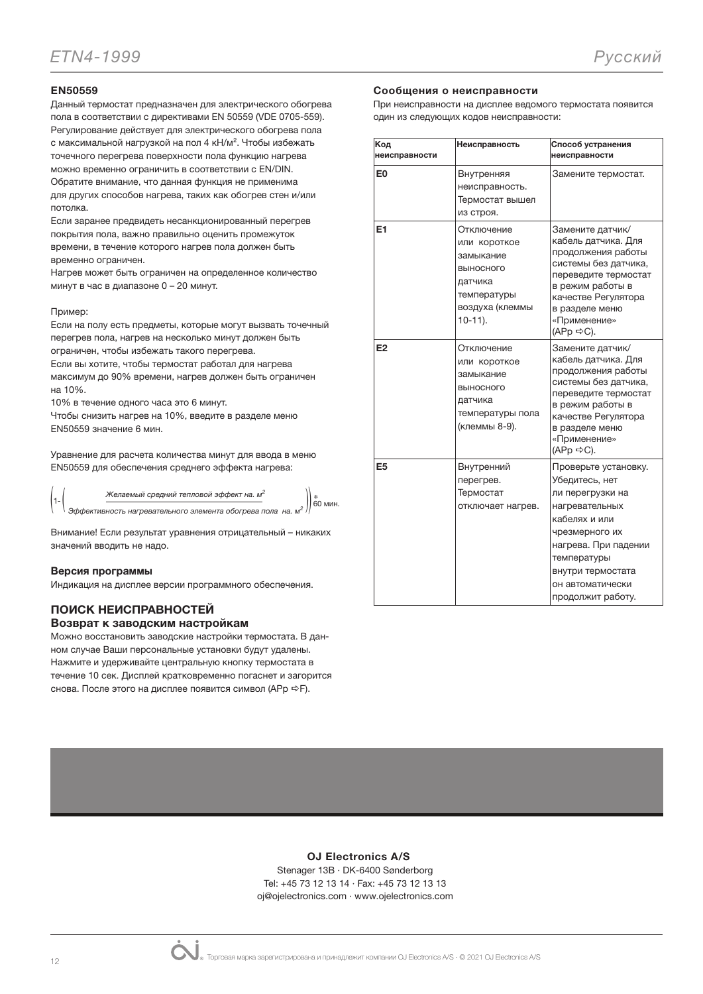# EN50559

Данный термостат предназначен для электрического обогрева пола в соответствии с директивами EN 50559 (VDE 0705-559). Регулирование действует для электрического обогрева пола с максимальной нагрузкой на пол 4 кН/м². Чтобы избежать точечного перегрева поверхности пола функцию нагрева можно временно ограничить в соответствии с EN/DIN. Обратите внимание, что данная функция не применима для других способов нагрева, таких как обогрев стен и/или потолка.

Если заранее предвидеть несанкционированный перегрев покрытия пола, важно правильно оценить промежуток времени, в течение которого нагрев пола должен быть временно ограничен.

Нагрев может быть ограничен на определенное количество минут в час в диапазоне 0 – 20 минут.

#### Пример:

Если на полу есть предметы, которые могут вызвать точечный перегрев пола, нагрев на несколько минут должен быть ограничен, чтобы избежать такого перегрева.

Если вы хотите, чтобы термостат работал для нагрева максимум до 90% времени, нагрев должен быть ограничен на 10%.

10% в течение одного часа это 6 минут.

Чтобы снизить нагрев на 10%, введите в разделе меню EN50559 значение 6 мин.

Уравнение для расчета количества минут для ввода в меню EN50559 для обеспечения среднего эффекта нагрева:

$$
\left(1 - \left(\begin{array}{c}\text{Желаемый средний тепловой эффект на. м²}\\ \text{Эффективность нагревательного элемента обогрева пола на. м²}\end{array}\right)\right)_{60 \text{ мин.}}
$$

Внимание! Если результат уравнения отрицательный – никаких значений вводить не надо.

#### Версия программы

Индикация на дисплее версии программного обеспечения.

# ПОИСК НЕИСПРАВНОСТЕЙ Возврат к заводским настройкам

Можно восстановить заводские настройки термостата. В данном случае Ваши персональные установки будут удалены. Нажмите и удерживайте центральную кнопку термостата в течение 10 сек. Дисплей кратковременно погаснет и загорится снова. После этого на дисплее появится символ (АРр  $\Leftrightarrow$  F).

# Сообщения о неисправности

При неисправности на дисплее ведомого термостата появится один из следующих кодов неисправности:

| Код<br>неисправности | Неисправность                                                                                                   | Способ устранения<br>неисправности                                                                                                                                                                                    |
|----------------------|-----------------------------------------------------------------------------------------------------------------|-----------------------------------------------------------------------------------------------------------------------------------------------------------------------------------------------------------------------|
| E <sub>0</sub>       | Внутренняя<br>неисправность.<br>Термостат вышел<br>из строя.                                                    | Замените термостат.                                                                                                                                                                                                   |
| E1                   | Отключение<br>или короткое<br>замыкание<br>ВЫНОСНОГО<br>датчика<br>температуры<br>воздуха (клеммы<br>$10-11$ ). | Замените датчик/<br>кабель датчика. Для<br>продолжения работы<br>системы без датчика,<br>переведите термостат<br>в режим работы в<br>качестве Регулятора<br>в разделе меню<br>«Применение»<br>$(APp \Rightarrow C$ ). |
| E <sub>2</sub>       | Отключение<br>или короткое<br>замыкание<br><b>ВЫНОСНОГО</b><br>датчика<br>температуры пола<br>(клеммы 8-9).     | Замените датчик/<br>кабель датчика. Для<br>продолжения работы<br>системы без датчика,<br>переведите термостат<br>в режим работы в<br>качестве Регулятора<br>в разделе меню<br>«Применение»<br>$(APp \Rightarrow C$ ). |
| E <sub>5</sub>       | Внутренний<br>перегрев.<br>Термостат<br>отключает нагрев.                                                       | Проверьте установку.<br>Убедитесь, нет<br>ли перегрузки на<br>нагревательных<br>кабелях и или<br>чрезмерного их<br>нагрева. При падении<br>температуры<br>внутри термостата<br>он автоматически<br>продолжит работу.  |

# OJ Electronics A/S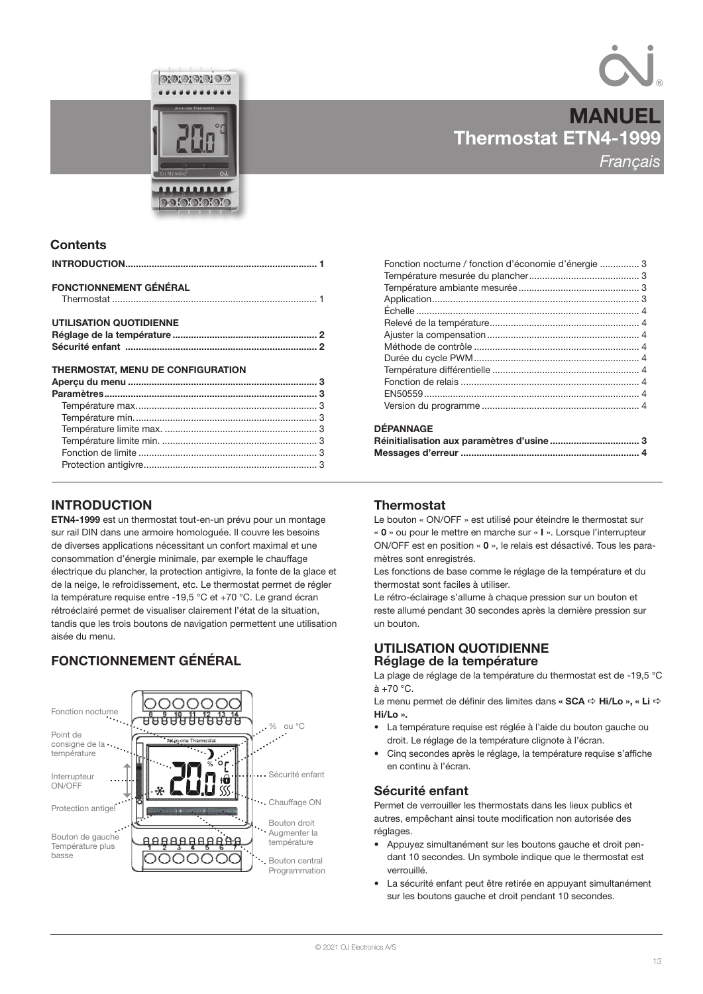



**MANUEL** 

# Thermostat ETN4-1999 **Francais**

# **Contents**

| <b>FONCTIONNEMENT GÉNÉRAL</b>     |  |
|-----------------------------------|--|
| <b>UTILISATION QUOTIDIENNE</b>    |  |
|                                   |  |
|                                   |  |
| THERMOSTAT. MENU DE CONFIGURATION |  |
|                                   |  |
|                                   |  |
|                                   |  |
|                                   |  |
|                                   |  |

Température limite min. ........................................................... 3 Fonction de limite .................................................................... 3 Protection antigivre.................................................................. 3

# INTRODUCTION

ETN4-1999 est un thermostat tout-en-un prévu pour un montage sur rail DIN dans une armoire homologuée. Il couvre les besoins de diverses applications nécessitant un confort maximal et une consommation d'énergie minimale, par exemple le chauffage électrique du plancher, la protection antigivre, la fonte de la glace et de la neige, le refroidissement, etc. Le thermostat permet de régler la température requise entre -19,5 °C et +70 °C. Le grand écran rétroéclairé permet de visualiser clairement l'état de la situation, tandis que les trois boutons de navigation permettent une utilisation aisée du menu.

# FONCTIONNEMENT GÉNÉRAL



| Fonction nocturne / fonction d'économie d'énergie  3 |  |
|------------------------------------------------------|--|
|                                                      |  |
|                                                      |  |
|                                                      |  |
|                                                      |  |
|                                                      |  |
|                                                      |  |
|                                                      |  |
|                                                      |  |
|                                                      |  |
|                                                      |  |
|                                                      |  |
|                                                      |  |
|                                                      |  |

# **DÉPANNAGE**

| PELAIRAN |  |
|----------|--|
|          |  |
|          |  |

# **Thermostat**

Le bouton « ON/OFF » est utilisé pour éteindre le thermostat sur « 0 » ou pour le mettre en marche sur « I ». Lorsque l'interrupteur ON/OFF est en position « 0 », le relais est désactivé. Tous les paramètres sont enregistrés.

Les fonctions de base comme le réglage de la température et du thermostat sont faciles à utiliser.

Le rétro-éclairage s'allume à chaque pression sur un bouton et reste allumé pendant 30 secondes après la dernière pression sur un bouton.

# UTILISATION QUOTIDIENNE Réglage de la température

La plage de réglage de la température du thermostat est de -19,5 °C  $\hat{a}$  +70 °C.

Le menu permet de définir des limites dans «  $SCA \Rightarrow Hi/Lo$  », « Li  $\Rightarrow$  $Hi/I \ncap$ 

- La température requise est réglée à l'aide du bouton gauche ou droit. Le réglage de la température clignote à l'écran.
- Cinq secondes après le réglage, la température requise s'affiche en continu à l'écran.

# Sécurité enfant

Permet de verrouiller les thermostats dans les lieux publics et autres, empêchant ainsi toute modification non autorisée des réglages.

- Appuyez simultanément sur les boutons gauche et droit pendant 10 secondes. Un symbole indique que le thermostat est verrouillé.
- La sécurité enfant peut être retirée en appuyant simultanément sur les boutons gauche et droit pendant 10 secondes.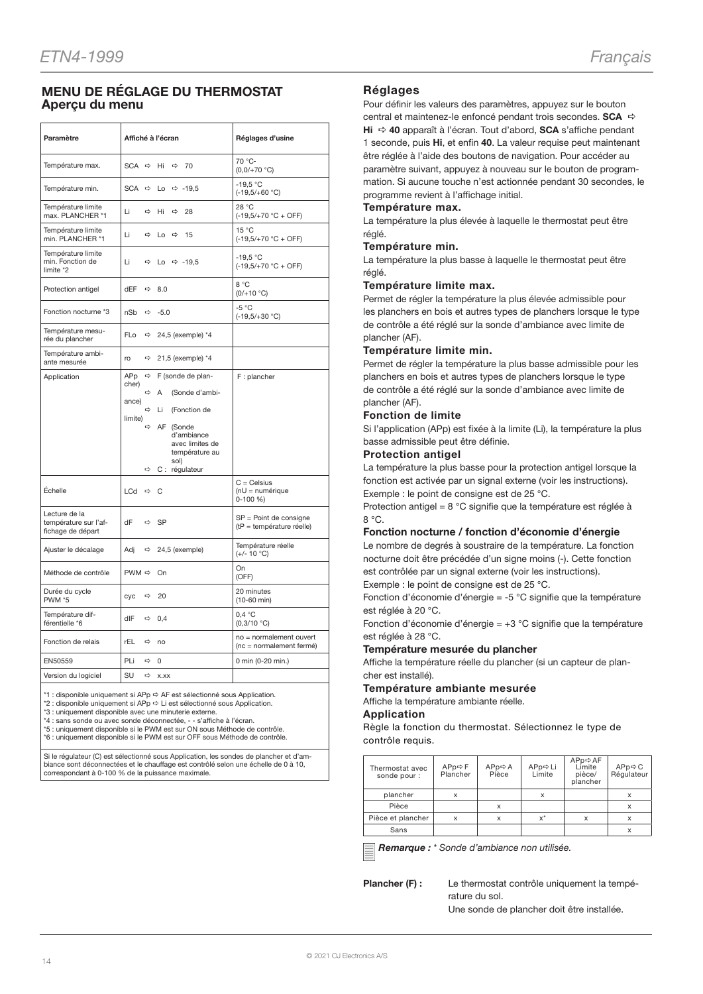# MENU DE RÉGLAGE DU THERMOSTAT Aperçu du menu

| Paramètre                                                   | Affiché à l'écran                                                                                                                                                                                                                                                     | Réglages d'usine                                    |
|-------------------------------------------------------------|-----------------------------------------------------------------------------------------------------------------------------------------------------------------------------------------------------------------------------------------------------------------------|-----------------------------------------------------|
| Température max.                                            | SCA $\Rightarrow$<br>Hi<br>$\Rightarrow$<br>70                                                                                                                                                                                                                        | 70 °C-<br>$(0,0/+70 °C)$                            |
| Température min.                                            | $SCA \Rightarrow$<br>Lo $\Rightarrow$ -19,5                                                                                                                                                                                                                           | $-19.5 °C$<br>$(-19,5/+60 °C)$                      |
| Température limite<br>max. PLANCHER *1                      | Li<br>⇨<br>Hi<br>⇨<br>28                                                                                                                                                                                                                                              | 28 °C<br>$(-19,5/+70 °C + OFF)$                     |
| Température limite<br>min. PLANCHER *1                      | Li<br>$\Rightarrow$<br>Lo $\Rightarrow$<br>15                                                                                                                                                                                                                         | 15 °C<br>$(-19,5/+70 °C + OFF)$                     |
| Température limite<br>min. Fonction de<br>limite *2         | Li<br>$\Rightarrow$ Lo $\Rightarrow$ -19.5                                                                                                                                                                                                                            | $-19.5 °C$<br>$(-19,5/+70 °C + OFF)$                |
| Protection antigel                                          | dEF<br>$\Rightarrow$<br>8.0                                                                                                                                                                                                                                           | 8 °C<br>$(0/+10 °C)$                                |
| Fonction nocturne *3                                        | nSb<br>$\Rightarrow$<br>$-5.0$                                                                                                                                                                                                                                        | $-5 °C$<br>$(-19,5/+30 °C)$                         |
| Température mesu-<br>rée du plancher                        | FLo<br>$\Rightarrow$ 24,5 (exemple) *4                                                                                                                                                                                                                                |                                                     |
| Température ambi-<br>ante mesurée                           | 21,5 (exemple) *4<br>ro<br>$\Rightarrow$                                                                                                                                                                                                                              |                                                     |
| Application                                                 | APp<br>F (sonde de plan-<br>$\Rightarrow$<br>cher)<br>$\Rightarrow$<br>(Sonde d'ambi-<br>Α<br>ance)<br>$\Rightarrow$<br>(Fonction de<br>Li<br>limite)<br>$\Rightarrow$<br>AF (Sonde<br>d'ambiance<br>avec limites de<br>température au<br>sol)<br>C : régulateur<br>⇨ | F: plancher                                         |
| Échelle                                                     | LCd $\Rightarrow$<br>C                                                                                                                                                                                                                                                | $C = Celsius$<br>$(nU = numérique)$<br>$0-100 \%$   |
| Lecture de la<br>température sur l'af-<br>fichage de départ | dF<br>$\Rightarrow$<br><b>SP</b>                                                                                                                                                                                                                                      | SP = Point de consigne<br>(tP = température réelle) |
| Ajuster le décalage                                         | 24,5 (exemple)<br>Adj<br>$\Rightarrow$                                                                                                                                                                                                                                | Température réelle<br>$(+/- 10 °C)$                 |
| Méthode de contrôle                                         | $PWM \Rightarrow$<br>On                                                                                                                                                                                                                                               | On<br>(OFF)                                         |
| Durée du cycle<br><b>PWM *5</b>                             | cyc<br>⇨<br>20                                                                                                                                                                                                                                                        | 20 minutes<br>$(10-60$ min)                         |
| Température dif-<br>férentielle *6                          | dlF<br>$\Leftrightarrow$ 0.4                                                                                                                                                                                                                                          | 0.4 °C<br>(0,3/10 °C)                               |
| Fonction de relais                                          | rEL<br>⇒ no                                                                                                                                                                                                                                                           | no = normalement ouvert<br>(nc = normalement fermé) |
| EN50559                                                     | PLi<br>$\Rightarrow$<br>$\mathbf 0$                                                                                                                                                                                                                                   | 0 min (0-20 min.)                                   |
| Version du logiciel                                         | SU<br>$\Rightarrow$<br>X.XX                                                                                                                                                                                                                                           |                                                     |

\*1 : disponible uniquement si APp  $\Leftrightarrow$  AF est sélectionné sous Application.

\*2 : disponible uniquement si APp ⇔ Li est sélectionné sous Application.<br>\*3 : uniquement disponible avec une minuterie externe.

\*4 : sans sonde ou avec sonde déconnectée, - - s'affiche à l'écran.

\*5 : uniquement disponible si le PWM est sur ON sous Méthode de contrôle. \*6 : uniquement disponible si le PWM est sur OFF sous Méthode de contrôle.

Si le régulateur (C) est sélectionné sous Application, les sondes de plancher et d'ambiance sont déconnectées et le chauffage est contrôlé selon une échelle de 0 à 10, correspondant à 0-100 % de la puissance maximale.

# Réglages

Pour définir les valeurs des paramètres, appuyez sur le bouton central et maintenez-le enfoncé pendant trois secondes. **SCA**  $\Rightarrow$ Hi  $\Rightarrow$  40 apparaît à l'écran. Tout d'abord, SCA s'affiche pendant 1 seconde, puis Hi, et enfin 40. La valeur requise peut maintenant être réglée à l'aide des boutons de navigation. Pour accéder au paramètre suivant, appuyez à nouveau sur le bouton de programmation. Si aucune touche n'est actionnée pendant 30 secondes, le programme revient à l'affichage initial.

#### Température max.

La température la plus élevée à laquelle le thermostat peut être réglé.

#### Température min.

La température la plus basse à laquelle le thermostat peut être réglé.

#### Température limite max.

Permet de régler la température la plus élevée admissible pour les planchers en bois et autres types de planchers lorsque le type de contrôle a été réglé sur la sonde d'ambiance avec limite de plancher (AF).

# Température limite min.

Permet de régler la température la plus basse admissible pour les planchers en bois et autres types de planchers lorsque le type de contrôle a été réglé sur la sonde d'ambiance avec limite de plancher (AF).

#### Fonction de limite

Si l'application (APp) est fixée à la limite (Li), la température la plus basse admissible peut être définie.

#### Protection antigel

La température la plus basse pour la protection antigel lorsque la fonction est activée par un signal externe (voir les instructions). Exemple : le point de consigne est de 25 °C.

Protection antigel = 8 °C signifie que la température est réglée à 8 °C.

# Fonction nocturne / fonction d'économie d'énergie

Le nombre de degrés à soustraire de la température. La fonction nocturne doit être précédée d'un signe moins (-). Cette fonction est contrôlée par un signal externe (voir les instructions).

Exemple : le point de consigne est de 25 °C.

Fonction d'économie d'énergie = -5 °C signifie que la température est réglée à 20 °C.

Fonction d'économie d'énergie = +3 °C signifie que la température est réglée à 28 °C.

#### Température mesurée du plancher

Affiche la température réelle du plancher (si un capteur de plancher est installé).

# Température ambiante mesurée

Affiche la température ambiante réelle.

#### Application

Règle la fonction du thermostat. Sélectionnez le type de contrôle requis.

| Thermostat avec<br>sonde pour : | $APPp \Leftrightarrow F$<br>Plancher | $APp \Rightarrow A$<br>Pièce | APp⇔ Li<br>Limite | APp⇔AF<br>Limite<br>pièce/<br>plancher | APp⇔ C<br>Régulateur |
|---------------------------------|--------------------------------------|------------------------------|-------------------|----------------------------------------|----------------------|
| plancher                        |                                      |                              | X                 |                                        |                      |
| Pièce                           |                                      | x                            |                   |                                        |                      |
| Pièce et plancher               |                                      | X                            | $x^*$             | x                                      |                      |
| Sans                            |                                      |                              |                   |                                        |                      |

Remarque : \* Sonde d'ambiance non utilisée.

Plancher (F) : Le thermostat contrôle uniquement la température du sol. Une sonde de plancher doit être installée.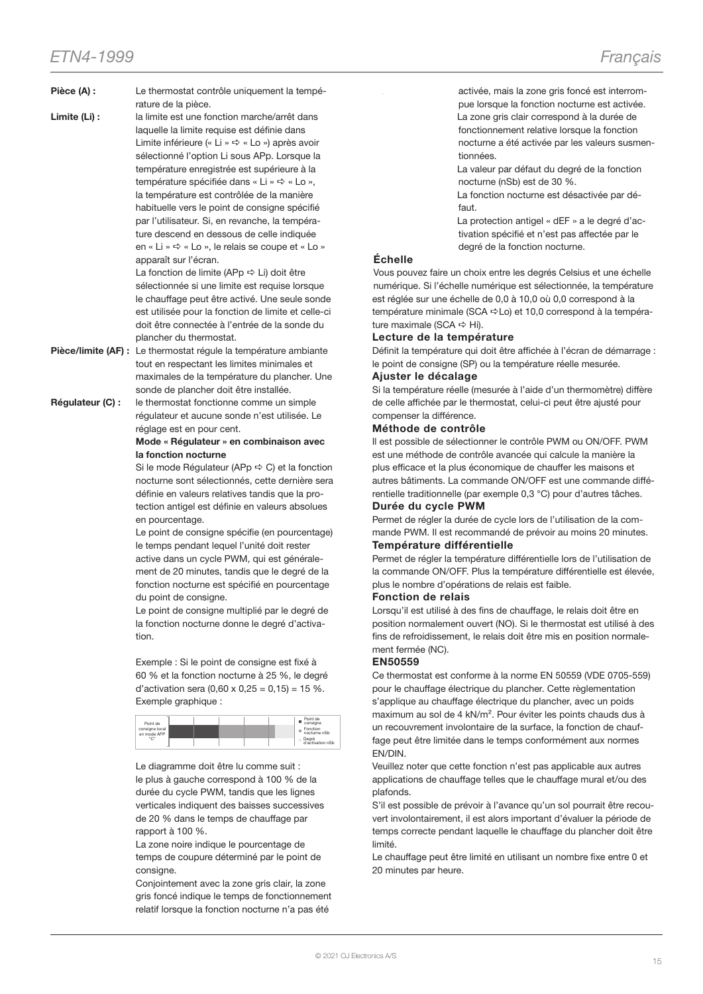- Pièce (A) : Le thermostat contrôle uniquement la température de la pièce.
- Limite (Li) : la limite est une fonction marche/arrêt dans laquelle la limite requise est définie dans Limite inférieure (« Li »  $\Rightarrow$  « Lo ») après avoir sélectionné l'option Li sous APp. Lorsque la température enregistrée est supérieure à la température spécifiée dans « Li »  $\Rightarrow$  « Lo ». la température est contrôlée de la manière habituelle vers le point de consigne spécifié par l'utilisateur. Si, en revanche, la température descend en dessous de celle indiquée en « Li »  $\Rightarrow$  « Lo », le relais se coupe et « Lo » apparaît sur l'écran.

La fonction de limite (APp  $\Rightarrow$  Li) doit être sélectionnée si une limite est requise lorsque le chauffage peut être activé. Une seule sonde est utilisée pour la fonction de limite et celle-ci doit être connectée à l'entrée de la sonde du plancher du thermostat.

- Pièce/limite (AF) : Le thermostat régule la température ambiante tout en respectant les limites minimales et maximales de la température du plancher. Une sonde de plancher doit être installée.
- Régulateur (C) : le thermostat fonctionne comme un simple régulateur et aucune sonde n'est utilisée. Le réglage est en pour cent.

Mode « Régulateur » en combinaison avec la fonction nocturne

Si le mode Régulateur (APp  $\Rightarrow$  C) et la fonction nocturne sont sélectionnés, cette dernière sera définie en valeurs relatives tandis que la protection antigel est définie en valeurs absolues en pourcentage.

Le point de consigne spécifie (en pourcentage) le temps pendant lequel l'unité doit rester active dans un cycle PWM, qui est généralement de 20 minutes, tandis que le degré de la fonction nocturne est spécifié en pourcentage du point de consigne.

Le point de consigne multiplié par le degré de la fonction nocturne donne le degré d'activation.

Exemple : Si le point de consigne est fixé à 60 % et la fonction nocturne à 25 %, le degré d'activation sera  $(0,60 \times 0,25 = 0,15) = 15$  %. Exemple graphique :

| Point de                      |  |  | Point de<br>consigne      |
|-------------------------------|--|--|---------------------------|
| consigne local<br>en mode APP |  |  | Fonction<br>noctume nSb   |
| "C"                           |  |  | Degré<br>d'activation nSb |

Le diagramme doit être lu comme suit : le plus à gauche correspond à 100 % de la durée du cycle PWM, tandis que les lignes verticales indiquent des baisses successives de 20 % dans le temps de chauffage par rapport à 100 %.

La zone noire indique le pourcentage de temps de coupure déterminé par le point de consigne.

Conjointement avec la zone gris clair, la zone gris foncé indique le temps de fonctionnement relatif lorsque la fonction nocturne n'a pas été

activée, mais la zone gris foncé est interrompue lorsque la fonction nocturne est activée. La zone gris clair correspond à la durée de fonctionnement relative lorsque la fonction nocturne a été activée par les valeurs susmentionnées.

La valeur par défaut du degré de la fonction nocturne (nSb) est de 30 %.

La fonction nocturne est désactivée par défaut.

La protection antigel « dEF » a le degré d'activation spécifié et n'est pas affectée par le degré de la fonction nocturne.

# Échelle

Vous pouvez faire un choix entre les degrés Celsius et une échelle numérique. Si l'échelle numérique est sélectionnée, la température est réglée sur une échelle de 0,0 à 10,0 où 0,0 correspond à la température minimale (SCA ⇔Lo) et 10,0 correspond à la température maximale (SCA  $\Rightarrow$  Hi).

# Lecture de la température

Définit la température qui doit être affichée à l'écran de démarrage : le point de consigne (SP) ou la température réelle mesurée.

# Ajuster le décalage

Si la température réelle (mesurée à l'aide d'un thermomètre) diffère de celle affichée par le thermostat, celui-ci peut être ajusté pour compenser la différence.

# Méthode de contrôle

Il est possible de sélectionner le contrôle PWM ou ON/OFF. PWM est une méthode de contrôle avancée qui calcule la manière la plus efficace et la plus économique de chauffer les maisons et autres bâtiments. La commande ON/OFF est une commande différentielle traditionnelle (par exemple 0,3 °C) pour d'autres tâches. Durée du cycle PWM

# Permet de régler la durée de cycle lors de l'utilisation de la commande PWM. Il est recommandé de prévoir au moins 20 minutes.

# Température différentielle

Permet de régler la température différentielle lors de l'utilisation de la commande ON/OFF. Plus la température différentielle est élevée, plus le nombre d'opérations de relais est faible.

# Fonction de relais

Lorsqu'il est utilisé à des fins de chauffage, le relais doit être en position normalement ouvert (NO). Si le thermostat est utilisé à des fins de refroidissement, le relais doit être mis en position normalement fermée (NC).

# EN50559

Ce thermostat est conforme à la norme EN 50559 (VDE 0705-559) pour le chauffage électrique du plancher. Cette règlementation s'applique au chauffage électrique du plancher, avec un poids maximum au sol de 4 kN/m². Pour éviter les points chauds dus à un recouvrement involontaire de la surface, la fonction de chauffage peut être limitée dans le temps conformément aux normes EN/DIN.

Veuillez noter que cette fonction n'est pas applicable aux autres applications de chauffage telles que le chauffage mural et/ou des plafonds.

S'il est possible de prévoir à l'avance qu'un sol pourrait être recouvert involontairement, il est alors important d'évaluer la période de temps correcte pendant laquelle le chauffage du plancher doit être limité.

Le chauffage peut être limité en utilisant un nombre fixe entre 0 et 20 minutes par heure.